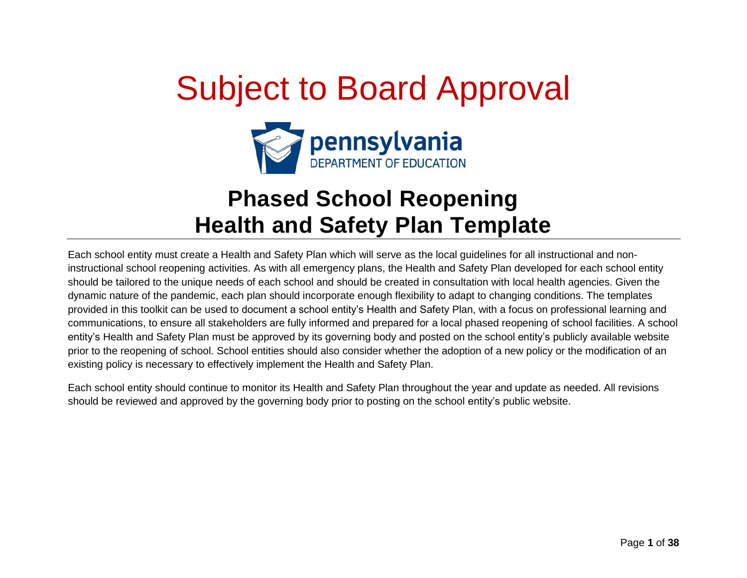# Subject to Board Approval



# **Phased School Reopening Health and Safety Plan Template**

Each school entity must create a Health and Safety Plan which will serve as the local guidelines for all instructional and noninstructional school reopening activities. As with all emergency plans, the Health and Safety Plan developed for each school entity should be tailored to the unique needs of each school and should be created in consultation with local health agencies. Given the dynamic nature of the pandemic, each plan should incorporate enough flexibility to adapt to changing conditions. The templates provided in this toolkit can be used to document a school entity's Health and Safety Plan, with a focus on professional learning and communications, to ensure all stakeholders are fully informed and prepared for a local phased reopening of school facilities. A school entity's Health and Safety Plan must be approved by its governing body and posted on the school entity's publicly available website prior to the reopening of school. School entities should also consider whether the adoption of a new policy or the modification of an existing policy is necessary to effectively implement the Health and Safety Plan.

Each school entity should continue to monitor its Health and Safety Plan throughout the year and update as needed. All revisions should be reviewed and approved by the governing body prior to posting on the school entity's public website.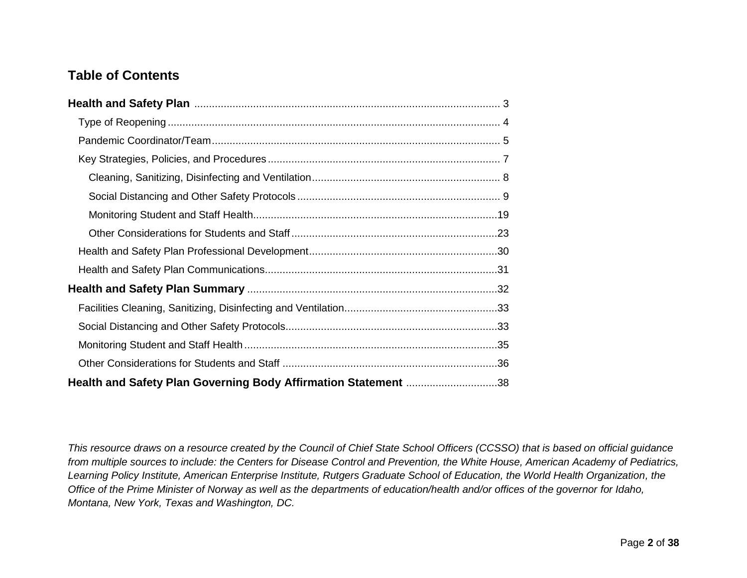# **Table of Contents**

| Health and Safety Plan Governing Body Affirmation Statement 38 |  |
|----------------------------------------------------------------|--|

*This resource draws on a resource created by the Council of Chief State School Officers (CCSSO) that is based on official guidance from multiple sources to include: the Centers for Disease Control and Prevention, the White House, American Academy of Pediatrics, Learning Policy Institute, American Enterprise Institute, Rutgers Graduate School of Education, the World Health Organization, the Office of the Prime Minister of Norway as well as the departments of education/health and/or offices of the governor for Idaho, Montana, New York, Texas and Washington, DC.*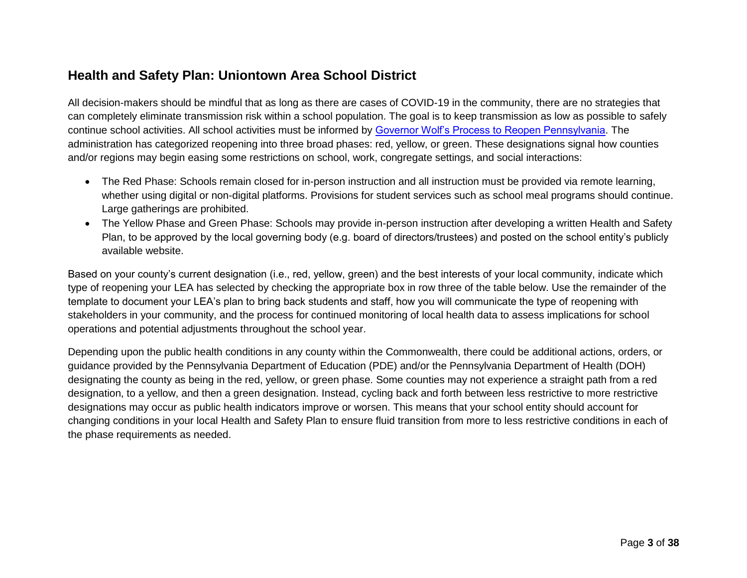### <span id="page-2-0"></span>**Health and Safety Plan: Uniontown Area School District**

All decision-makers should be mindful that as long as there are cases of COVID-19 in the community, there are no strategies that can completely eliminate transmission risk within a school population. The goal is to keep transmission as low as possible to safely continue school activities. All school activities must be informed by [Governor Wolf's Process to Reopen Pennsylvania.](https://www.governor.pa.gov/process-to-reopen-pennsylvania/) The administration has categorized reopening into three broad phases: red, yellow, or green. These designations signal how counties and/or regions may begin easing some restrictions on school, work, congregate settings, and social interactions:

- The Red Phase: Schools remain closed for in-person instruction and all instruction must be provided via remote learning, whether using digital or non-digital platforms. Provisions for student services such as school meal programs should continue. Large gatherings are prohibited.
- The Yellow Phase and Green Phase: Schools may provide in-person instruction after developing a written Health and Safety Plan, to be approved by the local governing body (e.g. board of directors/trustees) and posted on the school entity's publicly available website.

Based on your county's current designation (i.e., red, yellow, green) and the best interests of your local community, indicate which type of reopening your LEA has selected by checking the appropriate box in row three of the table below. Use the remainder of the template to document your LEA's plan to bring back students and staff, how you will communicate the type of reopening with stakeholders in your community, and the process for continued monitoring of local health data to assess implications for school operations and potential adjustments throughout the school year.

Depending upon the public health conditions in any county within the Commonwealth, there could be additional actions, orders, or guidance provided by the Pennsylvania Department of Education (PDE) and/or the Pennsylvania Department of Health (DOH) designating the county as being in the red, yellow, or green phase. Some counties may not experience a straight path from a red designation, to a yellow, and then a green designation. Instead, cycling back and forth between less restrictive to more restrictive designations may occur as public health indicators improve or worsen. This means that your school entity should account for changing conditions in your local Health and Safety Plan to ensure fluid transition from more to less restrictive conditions in each of the phase requirements as needed.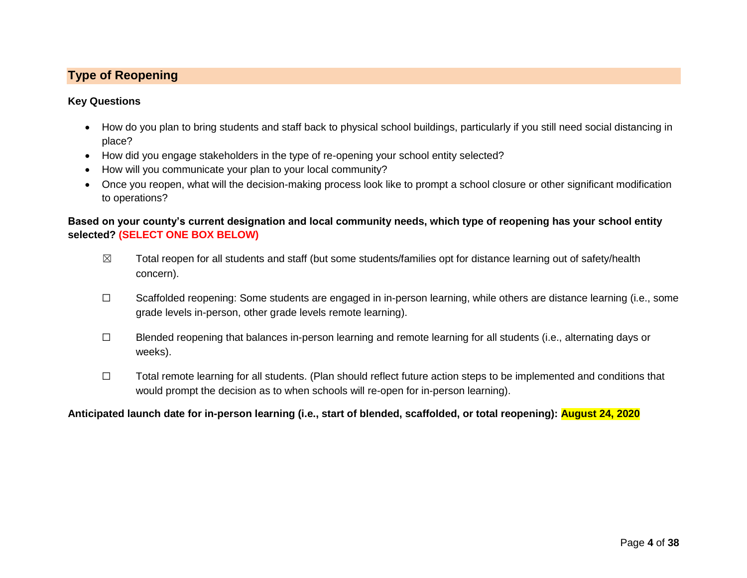#### <span id="page-3-0"></span>**Type of Reopening**

#### **Key Questions**

- How do you plan to bring students and staff back to physical school buildings, particularly if you still need social distancing in place?
- How did you engage stakeholders in the type of re-opening your school entity selected?
- How will you communicate your plan to your local community?
- Once you reopen, what will the decision-making process look like to prompt a school closure or other significant modification to operations?

#### **Based on your county's current designation and local community needs, which type of reopening has your school entity selected? (SELECT ONE BOX BELOW)**

- $\boxtimes$  Total reopen for all students and staff (but some students/families opt for distance learning out of safety/health concern).
- ☐ Scaffolded reopening: Some students are engaged in in-person learning, while others are distance learning (i.e., some grade levels in-person, other grade levels remote learning).
- ☐ Blended reopening that balances in-person learning and remote learning for all students (i.e., alternating days or weeks).
- ☐ Total remote learning for all students. (Plan should reflect future action steps to be implemented and conditions that would prompt the decision as to when schools will re-open for in-person learning).

#### **Anticipated launch date for in-person learning (i.e., start of blended, scaffolded, or total reopening): August 24, 2020**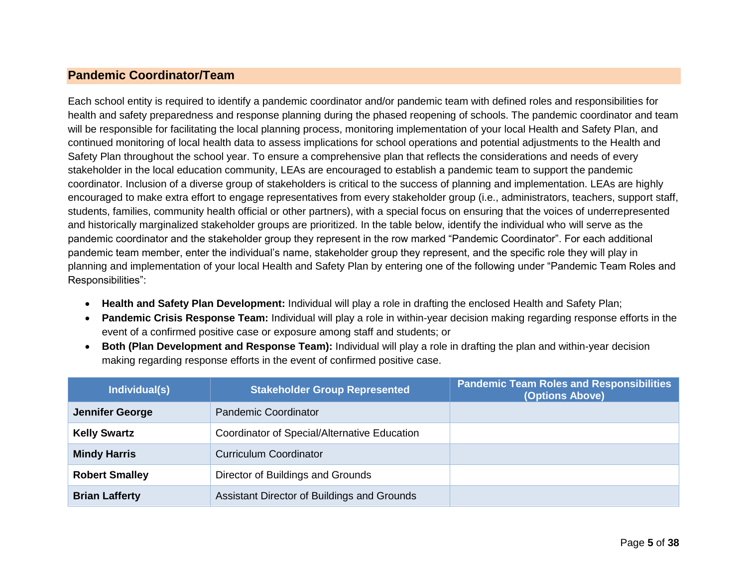#### <span id="page-4-0"></span>**Pandemic Coordinator/Team**

Each school entity is required to identify a pandemic coordinator and/or pandemic team with defined roles and responsibilities for health and safety preparedness and response planning during the phased reopening of schools. The pandemic coordinator and team will be responsible for facilitating the local planning process, monitoring implementation of your local Health and Safety Plan, and continued monitoring of local health data to assess implications for school operations and potential adjustments to the Health and Safety Plan throughout the school year. To ensure a comprehensive plan that reflects the considerations and needs of every stakeholder in the local education community, LEAs are encouraged to establish a pandemic team to support the pandemic coordinator. Inclusion of a diverse group of stakeholders is critical to the success of planning and implementation. LEAs are highly encouraged to make extra effort to engage representatives from every stakeholder group (i.e., administrators, teachers, support staff, students, families, community health official or other partners), with a special focus on ensuring that the voices of underrepresented and historically marginalized stakeholder groups are prioritized. In the table below, identify the individual who will serve as the pandemic coordinator and the stakeholder group they represent in the row marked "Pandemic Coordinator". For each additional pandemic team member, enter the individual's name, stakeholder group they represent, and the specific role they will play in planning and implementation of your local Health and Safety Plan by entering one of the following under "Pandemic Team Roles and Responsibilities":

- **Health and Safety Plan Development:** Individual will play a role in drafting the enclosed Health and Safety Plan;
- **Pandemic Crisis Response Team:** Individual will play a role in within-year decision making regarding response efforts in the event of a confirmed positive case or exposure among staff and students; or
- **Both (Plan Development and Response Team):** Individual will play a role in drafting the plan and within-year decision making regarding response efforts in the event of confirmed positive case.

| Individual(s)          | <b>Stakeholder Group Represented</b>         | <b>Pandemic Team Roles and Responsibilities</b><br>(Options Above) |
|------------------------|----------------------------------------------|--------------------------------------------------------------------|
| <b>Jennifer George</b> | <b>Pandemic Coordinator</b>                  |                                                                    |
| <b>Kelly Swartz</b>    | Coordinator of Special/Alternative Education |                                                                    |
| <b>Mindy Harris</b>    | <b>Curriculum Coordinator</b>                |                                                                    |
| <b>Robert Smalley</b>  | Director of Buildings and Grounds            |                                                                    |
| <b>Brian Lafferty</b>  | Assistant Director of Buildings and Grounds  |                                                                    |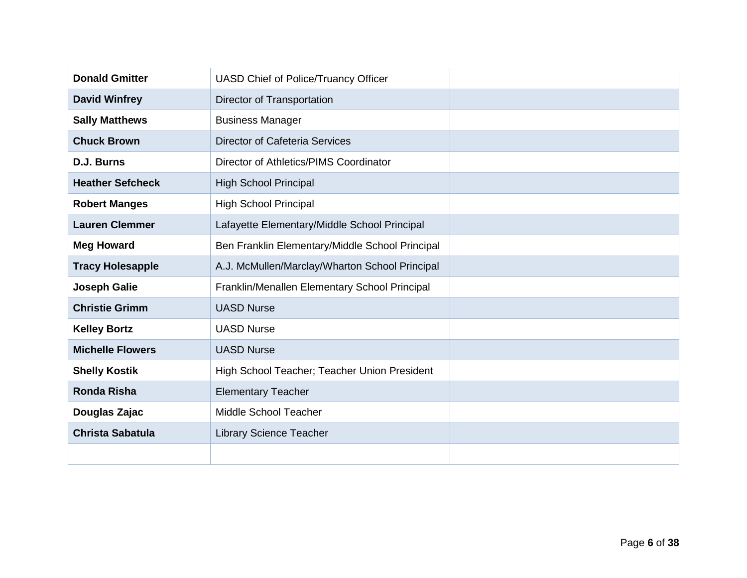| <b>Donald Gmitter</b>   | <b>UASD Chief of Police/Truancy Officer</b>     |  |
|-------------------------|-------------------------------------------------|--|
| <b>David Winfrey</b>    | Director of Transportation                      |  |
| <b>Sally Matthews</b>   | <b>Business Manager</b>                         |  |
| <b>Chuck Brown</b>      | <b>Director of Cafeteria Services</b>           |  |
| D.J. Burns              | Director of Athletics/PIMS Coordinator          |  |
| <b>Heather Sefcheck</b> | <b>High School Principal</b>                    |  |
| <b>Robert Manges</b>    | <b>High School Principal</b>                    |  |
| <b>Lauren Clemmer</b>   | Lafayette Elementary/Middle School Principal    |  |
| <b>Meg Howard</b>       | Ben Franklin Elementary/Middle School Principal |  |
| <b>Tracy Holesapple</b> | A.J. McMullen/Marclay/Wharton School Principal  |  |
| <b>Joseph Galie</b>     | Franklin/Menallen Elementary School Principal   |  |
| <b>Christie Grimm</b>   | <b>UASD Nurse</b>                               |  |
| <b>Kelley Bortz</b>     | <b>UASD Nurse</b>                               |  |
| <b>Michelle Flowers</b> | <b>UASD Nurse</b>                               |  |
| <b>Shelly Kostik</b>    | High School Teacher; Teacher Union President    |  |
| <b>Ronda Risha</b>      | <b>Elementary Teacher</b>                       |  |
| Douglas Zajac           | Middle School Teacher                           |  |
| <b>Christa Sabatula</b> | <b>Library Science Teacher</b>                  |  |
|                         |                                                 |  |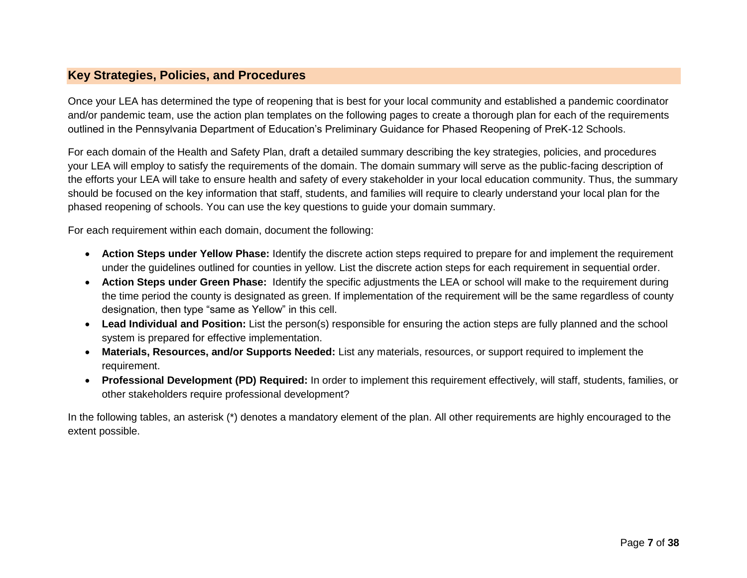#### <span id="page-6-0"></span>**Key Strategies, Policies, and Procedures**

Once your LEA has determined the type of reopening that is best for your local community and established a pandemic coordinator and/or pandemic team, use the action plan templates on the following pages to create a thorough plan for each of the requirements outlined in the Pennsylvania Department of Education's Preliminary Guidance for Phased Reopening of PreK-12 Schools.

For each domain of the Health and Safety Plan, draft a detailed summary describing the key strategies, policies, and procedures your LEA will employ to satisfy the requirements of the domain. The domain summary will serve as the public-facing description of the efforts your LEA will take to ensure health and safety of every stakeholder in your local education community. Thus, the summary should be focused on the key information that staff, students, and families will require to clearly understand your local plan for the phased reopening of schools. You can use the key questions to guide your domain summary.

For each requirement within each domain, document the following:

- **Action Steps under Yellow Phase:** Identify the discrete action steps required to prepare for and implement the requirement under the guidelines outlined for counties in yellow. List the discrete action steps for each requirement in sequential order.
- **Action Steps under Green Phase:** Identify the specific adjustments the LEA or school will make to the requirement during the time period the county is designated as green. If implementation of the requirement will be the same regardless of county designation, then type "same as Yellow" in this cell.
- **Lead Individual and Position:** List the person(s) responsible for ensuring the action steps are fully planned and the school system is prepared for effective implementation.
- **Materials, Resources, and/or Supports Needed:** List any materials, resources, or support required to implement the requirement.
- **Professional Development (PD) Required:** In order to implement this requirement effectively, will staff, students, families, or other stakeholders require professional development?

In the following tables, an asterisk (\*) denotes a mandatory element of the plan. All other requirements are highly encouraged to the extent possible.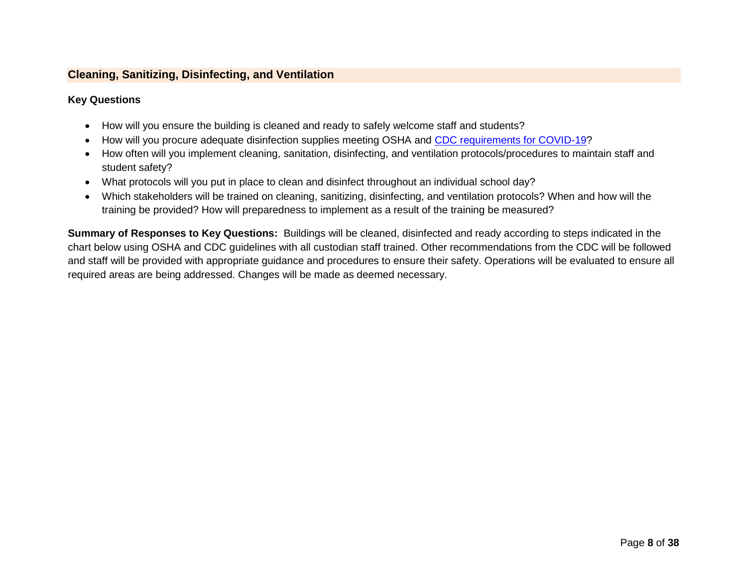#### <span id="page-7-0"></span>**Cleaning, Sanitizing, Disinfecting, and Ventilation**

#### **Key Questions**

- How will you ensure the building is cleaned and ready to safely welcome staff and students?
- How will you procure adequate disinfection supplies meeting OSHA and [CDC requirements for COVID-19?](https://www.cdc.gov/coronavirus/2019-ncov/community/disinfecting-building-facility.html)
- How often will you implement cleaning, sanitation, disinfecting, and ventilation protocols/procedures to maintain staff and student safety?
- What protocols will you put in place to clean and disinfect throughout an individual school day?
- Which stakeholders will be trained on cleaning, sanitizing, disinfecting, and ventilation protocols? When and how will the training be provided? How will preparedness to implement as a result of the training be measured?

**Summary of Responses to Key Questions:** Buildings will be cleaned, disinfected and ready according to steps indicated in the chart below using OSHA and CDC guidelines with all custodian staff trained. Other recommendations from the CDC will be followed and staff will be provided with appropriate guidance and procedures to ensure their safety. Operations will be evaluated to ensure all required areas are being addressed. Changes will be made as deemed necessary.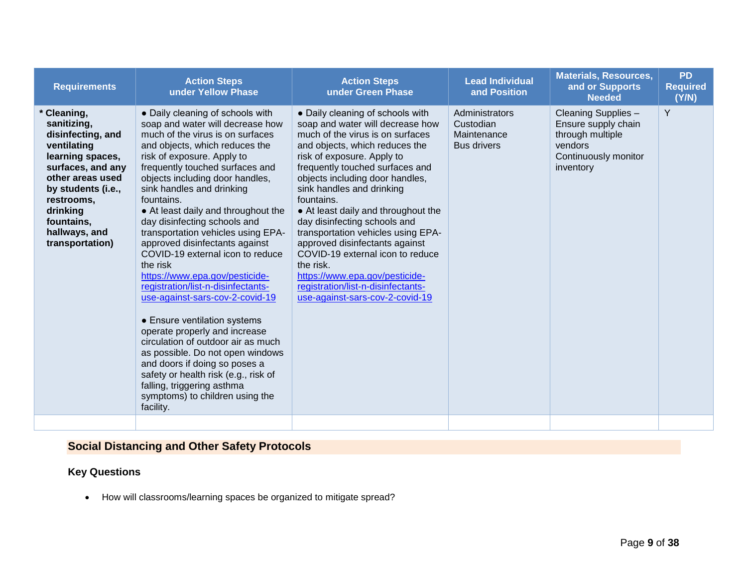| <b>Requirements</b>                                                                                                                                                                                                         | <b>Action Steps</b><br>under Yellow Phase                                                                                                                                                                                                                                                                                                                                                                                                                                                                                                                                                                                                                                                                                                                                                                                                                                                             | <b>Action Steps</b><br>under Green Phase                                                                                                                                                                                                                                                                                                                                                                                                                                                                                                                                                             | <b>Lead Individual</b><br>and Position                           | <b>Materials, Resources,</b><br>and or Supports<br><b>Needed</b>                                               | <b>PD</b><br><b>Required</b><br>(Y/N) |
|-----------------------------------------------------------------------------------------------------------------------------------------------------------------------------------------------------------------------------|-------------------------------------------------------------------------------------------------------------------------------------------------------------------------------------------------------------------------------------------------------------------------------------------------------------------------------------------------------------------------------------------------------------------------------------------------------------------------------------------------------------------------------------------------------------------------------------------------------------------------------------------------------------------------------------------------------------------------------------------------------------------------------------------------------------------------------------------------------------------------------------------------------|------------------------------------------------------------------------------------------------------------------------------------------------------------------------------------------------------------------------------------------------------------------------------------------------------------------------------------------------------------------------------------------------------------------------------------------------------------------------------------------------------------------------------------------------------------------------------------------------------|------------------------------------------------------------------|----------------------------------------------------------------------------------------------------------------|---------------------------------------|
| Cleaning,<br>sanitizing,<br>disinfecting, and<br>ventilating<br>learning spaces,<br>surfaces, and any<br>other areas used<br>by students (i.e.,<br>restrooms,<br>drinking<br>fountains,<br>hallways, and<br>transportation) | • Daily cleaning of schools with<br>soap and water will decrease how<br>much of the virus is on surfaces<br>and objects, which reduces the<br>risk of exposure. Apply to<br>frequently touched surfaces and<br>objects including door handles,<br>sink handles and drinking<br>fountains.<br>• At least daily and throughout the<br>day disinfecting schools and<br>transportation vehicles using EPA-<br>approved disinfectants against<br>COVID-19 external icon to reduce<br>the risk<br>https://www.epa.gov/pesticide-<br>registration/list-n-disinfectants-<br>use-against-sars-cov-2-covid-19<br>• Ensure ventilation systems<br>operate properly and increase<br>circulation of outdoor air as much<br>as possible. Do not open windows<br>and doors if doing so poses a<br>safety or health risk (e.g., risk of<br>falling, triggering asthma<br>symptoms) to children using the<br>facility. | • Daily cleaning of schools with<br>soap and water will decrease how<br>much of the virus is on surfaces<br>and objects, which reduces the<br>risk of exposure. Apply to<br>frequently touched surfaces and<br>objects including door handles,<br>sink handles and drinking<br>fountains.<br>• At least daily and throughout the<br>day disinfecting schools and<br>transportation vehicles using EPA-<br>approved disinfectants against<br>COVID-19 external icon to reduce<br>the risk.<br>https://www.epa.gov/pesticide-<br>registration/list-n-disinfectants-<br>use-against-sars-cov-2-covid-19 | Administrators<br>Custodian<br>Maintenance<br><b>Bus drivers</b> | Cleaning Supplies -<br>Ensure supply chain<br>through multiple<br>vendors<br>Continuously monitor<br>inventory | Y                                     |
|                                                                                                                                                                                                                             |                                                                                                                                                                                                                                                                                                                                                                                                                                                                                                                                                                                                                                                                                                                                                                                                                                                                                                       |                                                                                                                                                                                                                                                                                                                                                                                                                                                                                                                                                                                                      |                                                                  |                                                                                                                |                                       |

# <span id="page-8-0"></span>**Social Distancing and Other Safety Protocols**

#### **Key Questions**

How will classrooms/learning spaces be organized to mitigate spread?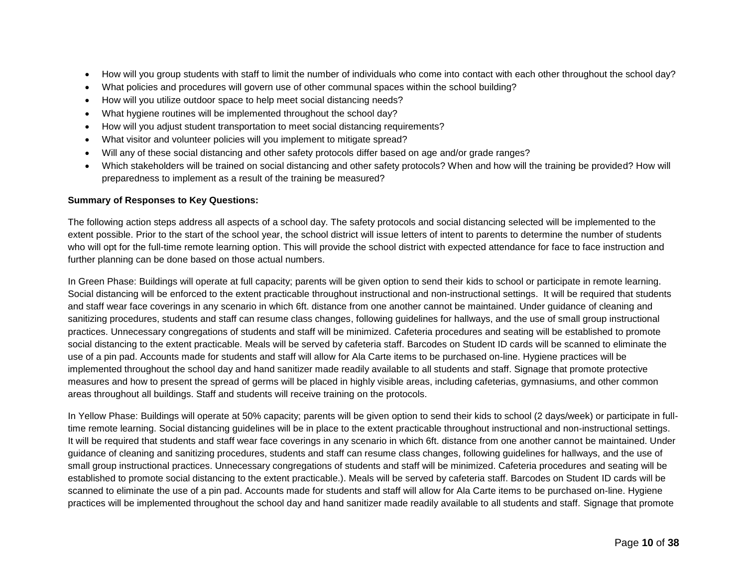- How will you group students with staff to limit the number of individuals who come into contact with each other throughout the school day?
- What policies and procedures will govern use of other communal spaces within the school building?
- How will you utilize outdoor space to help meet social distancing needs?
- What hygiene routines will be implemented throughout the school day?
- How will you adjust student transportation to meet social distancing requirements?
- What visitor and volunteer policies will you implement to mitigate spread?
- Will any of these social distancing and other safety protocols differ based on age and/or grade ranges?
- Which stakeholders will be trained on social distancing and other safety protocols? When and how will the training be provided? How will preparedness to implement as a result of the training be measured?

#### **Summary of Responses to Key Questions:**

The following action steps address all aspects of a school day. The safety protocols and social distancing selected will be implemented to the extent possible. Prior to the start of the school year, the school district will issue letters of intent to parents to determine the number of students who will opt for the full-time remote learning option. This will provide the school district with expected attendance for face to face instruction and further planning can be done based on those actual numbers.

In Green Phase: Buildings will operate at full capacity; parents will be given option to send their kids to school or participate in remote learning. Social distancing will be enforced to the extent practicable throughout instructional and non-instructional settings. It will be required that students and staff wear face coverings in any scenario in which 6ft. distance from one another cannot be maintained. Under guidance of cleaning and sanitizing procedures, students and staff can resume class changes, following guidelines for hallways, and the use of small group instructional practices. Unnecessary congregations of students and staff will be minimized. Cafeteria procedures and seating will be established to promote social distancing to the extent practicable. Meals will be served by cafeteria staff. Barcodes on Student ID cards will be scanned to eliminate the use of a pin pad. Accounts made for students and staff will allow for Ala Carte items to be purchased on-line. Hygiene practices will be implemented throughout the school day and hand sanitizer made readily available to all students and staff. Signage that promote protective measures and how to present the spread of germs will be placed in highly visible areas, including cafeterias, gymnasiums, and other common areas throughout all buildings. Staff and students will receive training on the protocols.

In Yellow Phase: Buildings will operate at 50% capacity; parents will be given option to send their kids to school (2 days/week) or participate in fulltime remote learning. Social distancing guidelines will be in place to the extent practicable throughout instructional and non-instructional settings. It will be required that students and staff wear face coverings in any scenario in which 6ft. distance from one another cannot be maintained. Under guidance of cleaning and sanitizing procedures, students and staff can resume class changes, following guidelines for hallways, and the use of small group instructional practices. Unnecessary congregations of students and staff will be minimized. Cafeteria procedures and seating will be established to promote social distancing to the extent practicable.). Meals will be served by cafeteria staff. Barcodes on Student ID cards will be scanned to eliminate the use of a pin pad. Accounts made for students and staff will allow for Ala Carte items to be purchased on-line. Hygiene practices will be implemented throughout the school day and hand sanitizer made readily available to all students and staff. Signage that promote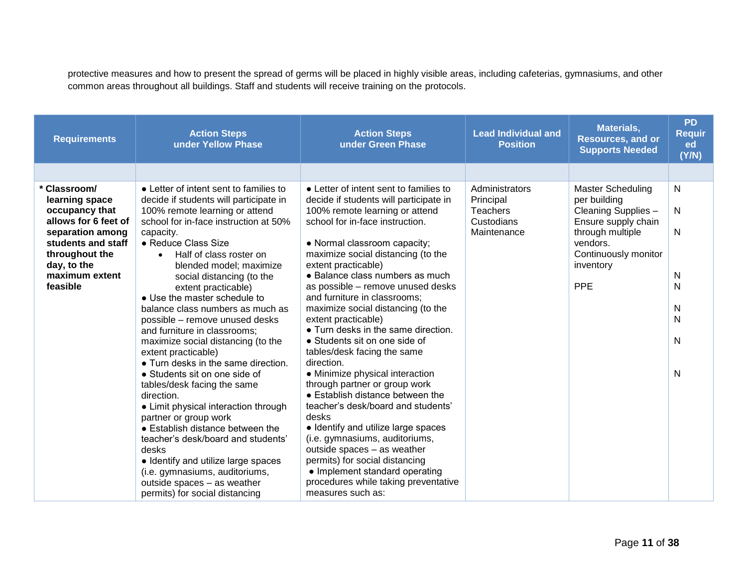protective measures and how to present the spread of germs will be placed in highly visible areas, including cafeterias, gymnasiums, and other common areas throughout all buildings. Staff and students will receive training on the protocols.

| <b>Requirements</b>                                                                                                                                                               | <b>Action Steps</b><br>under Yellow Phase                                                                                                                                                                                                                                                                                                                                                                                                                                                                                                                                                                                                                                                                                                                                                                                                                                                                                                    | <b>Action Steps</b><br>under Green Phase                                                                                                                                                                                                                                                                                                                                                                                                                                                                                                                                                                                                                                                                                                                                                                                                                                                                                                     | <b>Lead Individual and</b><br><b>Position</b>                               | Materials,<br><b>Resources, and or</b><br><b>Supports Needed</b>                                                                                                          | <b>PD</b><br><b>Requir</b><br>ed<br>(Y/N) |
|-----------------------------------------------------------------------------------------------------------------------------------------------------------------------------------|----------------------------------------------------------------------------------------------------------------------------------------------------------------------------------------------------------------------------------------------------------------------------------------------------------------------------------------------------------------------------------------------------------------------------------------------------------------------------------------------------------------------------------------------------------------------------------------------------------------------------------------------------------------------------------------------------------------------------------------------------------------------------------------------------------------------------------------------------------------------------------------------------------------------------------------------|----------------------------------------------------------------------------------------------------------------------------------------------------------------------------------------------------------------------------------------------------------------------------------------------------------------------------------------------------------------------------------------------------------------------------------------------------------------------------------------------------------------------------------------------------------------------------------------------------------------------------------------------------------------------------------------------------------------------------------------------------------------------------------------------------------------------------------------------------------------------------------------------------------------------------------------------|-----------------------------------------------------------------------------|---------------------------------------------------------------------------------------------------------------------------------------------------------------------------|-------------------------------------------|
|                                                                                                                                                                                   |                                                                                                                                                                                                                                                                                                                                                                                                                                                                                                                                                                                                                                                                                                                                                                                                                                                                                                                                              |                                                                                                                                                                                                                                                                                                                                                                                                                                                                                                                                                                                                                                                                                                                                                                                                                                                                                                                                              |                                                                             |                                                                                                                                                                           |                                           |
| * Classroom/<br>learning space<br>occupancy that<br>allows for 6 feet of<br>separation among<br>students and staff<br>throughout the<br>day, to the<br>maximum extent<br>feasible | • Letter of intent sent to families to<br>decide if students will participate in<br>100% remote learning or attend<br>school for in-face instruction at 50%<br>capacity.<br>• Reduce Class Size<br>Half of class roster on<br>$\bullet$<br>blended model; maximize<br>social distancing (to the<br>extent practicable)<br>• Use the master schedule to<br>balance class numbers as much as<br>possible - remove unused desks<br>and furniture in classrooms;<br>maximize social distancing (to the<br>extent practicable)<br>• Turn desks in the same direction.<br>• Students sit on one side of<br>tables/desk facing the same<br>direction.<br>• Limit physical interaction through<br>partner or group work<br>• Establish distance between the<br>teacher's desk/board and students'<br>desks<br>• Identify and utilize large spaces<br>(i.e. gymnasiums, auditoriums,<br>outside spaces - as weather<br>permits) for social distancing | • Letter of intent sent to families to<br>decide if students will participate in<br>100% remote learning or attend<br>school for in-face instruction.<br>• Normal classroom capacity;<br>maximize social distancing (to the<br>extent practicable)<br>• Balance class numbers as much<br>as possible - remove unused desks<br>and furniture in classrooms;<br>maximize social distancing (to the<br>extent practicable)<br>• Turn desks in the same direction.<br>• Students sit on one side of<br>tables/desk facing the same<br>direction.<br>• Minimize physical interaction<br>through partner or group work<br>• Establish distance between the<br>teacher's desk/board and students'<br>desks<br>• Identify and utilize large spaces<br>(i.e. gymnasiums, auditoriums,<br>outside spaces - as weather<br>permits) for social distancing<br>• Implement standard operating<br>procedures while taking preventative<br>measures such as: | Administrators<br>Principal<br><b>Teachers</b><br>Custodians<br>Maintenance | <b>Master Scheduling</b><br>per building<br>Cleaning Supplies -<br>Ensure supply chain<br>through multiple<br>vendors.<br>Continuously monitor<br>inventory<br><b>PPE</b> | N<br>N<br>N<br>N<br>N<br>N<br>N<br>N<br>N |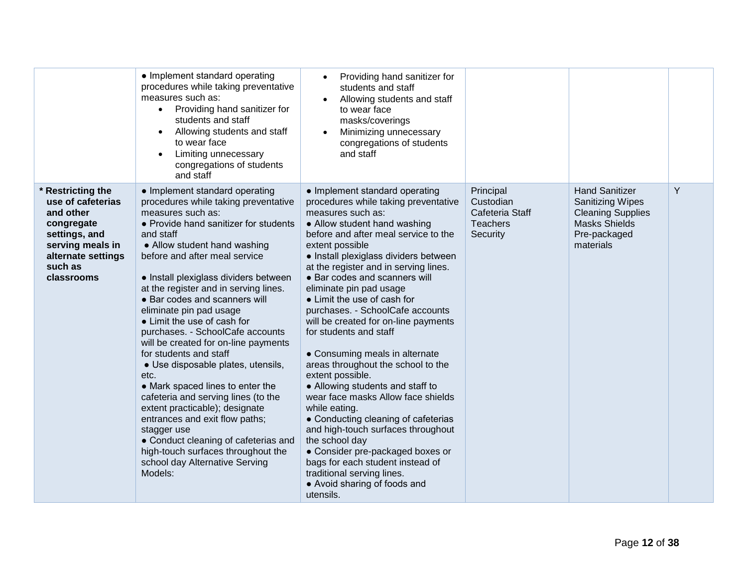|                                                                                                                                                       | • Implement standard operating<br>procedures while taking preventative<br>measures such as:<br>Providing hand sanitizer for<br>$\bullet$<br>students and staff<br>Allowing students and staff<br>to wear face<br>Limiting unnecessary<br>congregations of students<br>and staff                                                                                                                                                                                                                                                                                                                                                                                                                                                                                                                                                              | Providing hand sanitizer for<br>$\bullet$<br>students and staff<br>Allowing students and staff<br>$\bullet$<br>to wear face<br>masks/coverings<br>Minimizing unnecessary<br>congregations of students<br>and staff                                                                                                                                                                                                                                                                                                                                                                                                                                                                                                                                                                                                                                                                                                 |                                                                          |                                                                                                                                   |   |
|-------------------------------------------------------------------------------------------------------------------------------------------------------|----------------------------------------------------------------------------------------------------------------------------------------------------------------------------------------------------------------------------------------------------------------------------------------------------------------------------------------------------------------------------------------------------------------------------------------------------------------------------------------------------------------------------------------------------------------------------------------------------------------------------------------------------------------------------------------------------------------------------------------------------------------------------------------------------------------------------------------------|--------------------------------------------------------------------------------------------------------------------------------------------------------------------------------------------------------------------------------------------------------------------------------------------------------------------------------------------------------------------------------------------------------------------------------------------------------------------------------------------------------------------------------------------------------------------------------------------------------------------------------------------------------------------------------------------------------------------------------------------------------------------------------------------------------------------------------------------------------------------------------------------------------------------|--------------------------------------------------------------------------|-----------------------------------------------------------------------------------------------------------------------------------|---|
| * Restricting the<br>use of cafeterias<br>and other<br>congregate<br>settings, and<br>serving meals in<br>alternate settings<br>such as<br>classrooms | • Implement standard operating<br>procedures while taking preventative<br>measures such as:<br>• Provide hand sanitizer for students<br>and staff<br>• Allow student hand washing<br>before and after meal service<br>• Install plexiglass dividers between<br>at the register and in serving lines.<br>• Bar codes and scanners will<br>eliminate pin pad usage<br>• Limit the use of cash for<br>purchases. - SchoolCafe accounts<br>will be created for on-line payments<br>for students and staff<br>· Use disposable plates, utensils,<br>etc.<br>• Mark spaced lines to enter the<br>cafeteria and serving lines (to the<br>extent practicable); designate<br>entrances and exit flow paths;<br>stagger use<br>• Conduct cleaning of cafeterias and<br>high-touch surfaces throughout the<br>school day Alternative Serving<br>Models: | • Implement standard operating<br>procedures while taking preventative<br>measures such as:<br>• Allow student hand washing<br>before and after meal service to the<br>extent possible<br>· Install plexiglass dividers between<br>at the register and in serving lines.<br>• Bar codes and scanners will<br>eliminate pin pad usage<br>• Limit the use of cash for<br>purchases. - SchoolCafe accounts<br>will be created for on-line payments<br>for students and staff<br>• Consuming meals in alternate<br>areas throughout the school to the<br>extent possible.<br>• Allowing students and staff to<br>wear face masks Allow face shields<br>while eating.<br>• Conducting cleaning of cafeterias<br>and high-touch surfaces throughout<br>the school day<br>• Consider pre-packaged boxes or<br>bags for each student instead of<br>traditional serving lines.<br>• Avoid sharing of foods and<br>utensils. | Principal<br>Custodian<br>Cafeteria Staff<br><b>Teachers</b><br>Security | <b>Hand Sanitizer</b><br><b>Sanitizing Wipes</b><br><b>Cleaning Supplies</b><br><b>Masks Shields</b><br>Pre-packaged<br>materials | Y |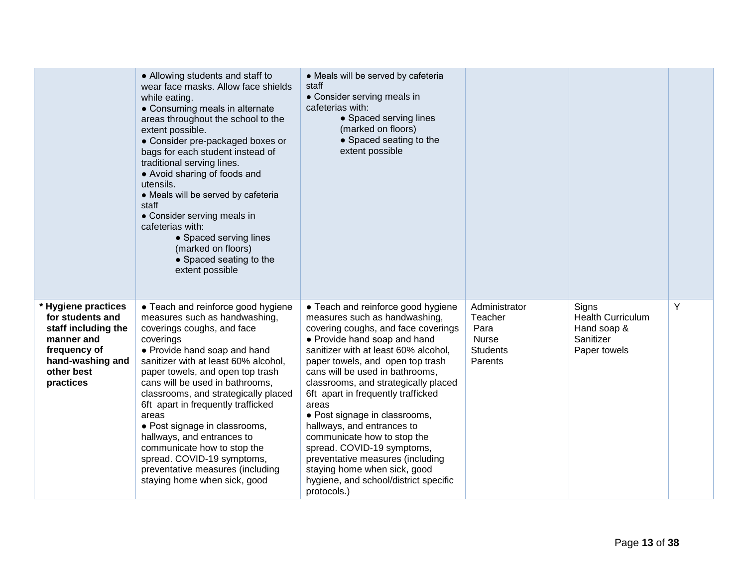|                                                                                                                                                  | • Allowing students and staff to<br>wear face masks. Allow face shields<br>while eating.<br>• Consuming meals in alternate<br>areas throughout the school to the<br>extent possible.<br>• Consider pre-packaged boxes or<br>bags for each student instead of<br>traditional serving lines.<br>• Avoid sharing of foods and<br>utensils.<br>• Meals will be served by cafeteria<br>staff<br>• Consider serving meals in<br>cafeterias with:<br>• Spaced serving lines<br>(marked on floors)<br>• Spaced seating to the<br>extent possible             | • Meals will be served by cafeteria<br>staff<br>• Consider serving meals in<br>cafeterias with:<br>• Spaced serving lines<br>(marked on floors)<br>• Spaced seating to the<br>extent possible                                                                                                                                                                                                                                                                                                                                                                                                            |                                                                                |                                                                               |   |
|--------------------------------------------------------------------------------------------------------------------------------------------------|------------------------------------------------------------------------------------------------------------------------------------------------------------------------------------------------------------------------------------------------------------------------------------------------------------------------------------------------------------------------------------------------------------------------------------------------------------------------------------------------------------------------------------------------------|----------------------------------------------------------------------------------------------------------------------------------------------------------------------------------------------------------------------------------------------------------------------------------------------------------------------------------------------------------------------------------------------------------------------------------------------------------------------------------------------------------------------------------------------------------------------------------------------------------|--------------------------------------------------------------------------------|-------------------------------------------------------------------------------|---|
| <b>Hygiene practices</b><br>for students and<br>staff including the<br>manner and<br>frequency of<br>hand-washing and<br>other best<br>practices | • Teach and reinforce good hygiene<br>measures such as handwashing,<br>coverings coughs, and face<br>coverings<br>• Provide hand soap and hand<br>sanitizer with at least 60% alcohol,<br>paper towels, and open top trash<br>cans will be used in bathrooms,<br>classrooms, and strategically placed<br>6ft apart in frequently trafficked<br>areas<br>• Post signage in classrooms,<br>hallways, and entrances to<br>communicate how to stop the<br>spread. COVID-19 symptoms,<br>preventative measures (including<br>staying home when sick, good | • Teach and reinforce good hygiene<br>measures such as handwashing,<br>covering coughs, and face coverings<br>• Provide hand soap and hand<br>sanitizer with at least 60% alcohol,<br>paper towels, and open top trash<br>cans will be used in bathrooms,<br>classrooms, and strategically placed<br>6ft apart in frequently trafficked<br>areas<br>• Post signage in classrooms,<br>hallways, and entrances to<br>communicate how to stop the<br>spread. COVID-19 symptoms,<br>preventative measures (including<br>staying home when sick, good<br>hygiene, and school/district specific<br>protocols.) | Administrator<br>Teacher<br>Para<br><b>Nurse</b><br><b>Students</b><br>Parents | Signs<br><b>Health Curriculum</b><br>Hand soap &<br>Sanitizer<br>Paper towels | Y |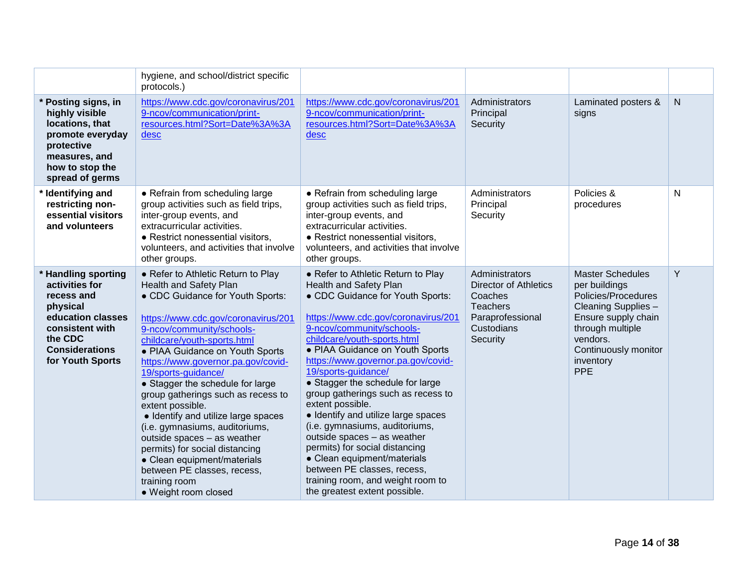|                                                                                                                                                                 | hygiene, and school/district specific<br>protocols.)                                                                                                                                                                                                                                                                                                                                                                                                                                                                                                                                                                                                      |                                                                                                                                                                                                                                                                                                                                                                                                                                                                                                                                                                                                                                                                                        |                                                                                                                            |                                                                                                                                                                                                  |              |
|-----------------------------------------------------------------------------------------------------------------------------------------------------------------|-----------------------------------------------------------------------------------------------------------------------------------------------------------------------------------------------------------------------------------------------------------------------------------------------------------------------------------------------------------------------------------------------------------------------------------------------------------------------------------------------------------------------------------------------------------------------------------------------------------------------------------------------------------|----------------------------------------------------------------------------------------------------------------------------------------------------------------------------------------------------------------------------------------------------------------------------------------------------------------------------------------------------------------------------------------------------------------------------------------------------------------------------------------------------------------------------------------------------------------------------------------------------------------------------------------------------------------------------------------|----------------------------------------------------------------------------------------------------------------------------|--------------------------------------------------------------------------------------------------------------------------------------------------------------------------------------------------|--------------|
| * Posting signs, in<br>highly visible<br>locations, that<br>promote everyday<br>protective<br>measures, and<br>how to stop the<br>spread of germs               | https://www.cdc.gov/coronavirus/201<br>9-ncov/communication/print-<br>resources.html?Sort=Date%3A%3A<br>desc                                                                                                                                                                                                                                                                                                                                                                                                                                                                                                                                              | https://www.cdc.gov/coronavirus/201<br>9-ncov/communication/print-<br>resources.html?Sort=Date%3A%3A<br>desc                                                                                                                                                                                                                                                                                                                                                                                                                                                                                                                                                                           | Administrators<br>Principal<br>Security                                                                                    | Laminated posters &<br>signs                                                                                                                                                                     | $\mathsf{N}$ |
| * Identifying and<br>restricting non-<br>essential visitors<br>and volunteers                                                                                   | • Refrain from scheduling large<br>group activities such as field trips,<br>inter-group events, and<br>extracurricular activities.<br>• Restrict nonessential visitors,<br>volunteers, and activities that involve<br>other groups.                                                                                                                                                                                                                                                                                                                                                                                                                       | • Refrain from scheduling large<br>group activities such as field trips,<br>inter-group events, and<br>extracurricular activities.<br>• Restrict nonessential visitors,<br>volunteers, and activities that involve<br>other groups.                                                                                                                                                                                                                                                                                                                                                                                                                                                    | Administrators<br>Principal<br>Security                                                                                    | Policies &<br>procedures                                                                                                                                                                         | N            |
| * Handling sporting<br>activities for<br>recess and<br>physical<br>education classes<br>consistent with<br>the CDC<br><b>Considerations</b><br>for Youth Sports | • Refer to Athletic Return to Play<br><b>Health and Safety Plan</b><br>• CDC Guidance for Youth Sports:<br>https://www.cdc.gov/coronavirus/201<br>9-ncov/community/schools-<br>childcare/youth-sports.html<br>• PIAA Guidance on Youth Sports<br>https://www.governor.pa.gov/covid-<br>19/sports-quidance/<br>• Stagger the schedule for large<br>group gatherings such as recess to<br>extent possible.<br>• Identify and utilize large spaces<br>(i.e. gymnasiums, auditoriums,<br>outside spaces - as weather<br>permits) for social distancing<br>• Clean equipment/materials<br>between PE classes, recess,<br>training room<br>• Weight room closed | • Refer to Athletic Return to Play<br><b>Health and Safety Plan</b><br>• CDC Guidance for Youth Sports:<br>https://www.cdc.gov/coronavirus/201<br>9-ncov/community/schools-<br>childcare/youth-sports.html<br>• PIAA Guidance on Youth Sports<br>https://www.governor.pa.gov/covid-<br>19/sports-quidance/<br>• Stagger the schedule for large<br>group gatherings such as recess to<br>extent possible.<br>• Identify and utilize large spaces<br>(i.e. gymnasiums, auditoriums,<br>outside spaces - as weather<br>permits) for social distancing<br>• Clean equipment/materials<br>between PE classes, recess,<br>training room, and weight room to<br>the greatest extent possible. | Administrators<br><b>Director of Athletics</b><br>Coaches<br><b>Teachers</b><br>Paraprofessional<br>Custodians<br>Security | <b>Master Schedules</b><br>per buildings<br>Policies/Procedures<br>Cleaning Supplies -<br>Ensure supply chain<br>through multiple<br>vendors.<br>Continuously monitor<br>inventory<br><b>PPE</b> | Y            |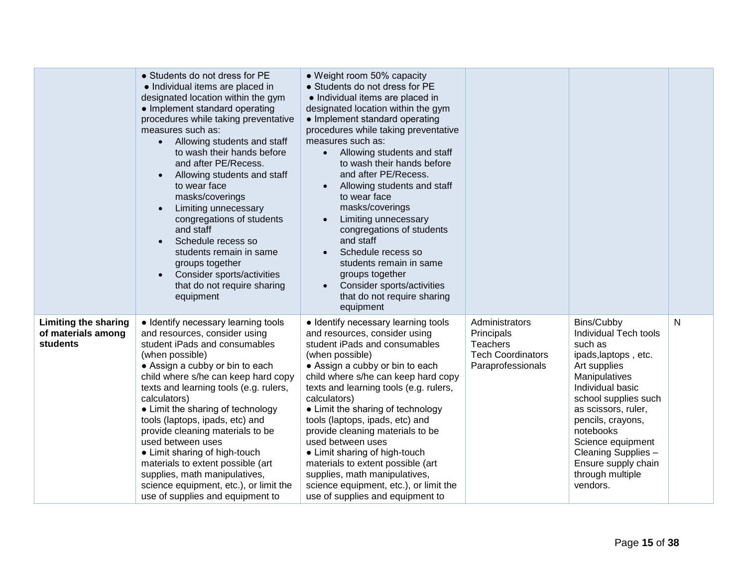|                                                               | • Students do not dress for PE<br>• Individual items are placed in<br>designated location within the gym<br>• Implement standard operating<br>procedures while taking preventative<br>measures such as:<br>Allowing students and staff<br>$\bullet$<br>to wash their hands before<br>and after PE/Recess.<br>Allowing students and staff<br>$\bullet$<br>to wear face<br>masks/coverings<br>Limiting unnecessary<br>congregations of students<br>and staff<br>Schedule recess so<br>students remain in same<br>groups together<br>Consider sports/activities<br>that do not require sharing<br>equipment | • Weight room 50% capacity<br>• Students do not dress for PE<br>• Individual items are placed in<br>designated location within the gym<br>• Implement standard operating<br>procedures while taking preventative<br>measures such as:<br>• Allowing students and staff<br>to wash their hands before<br>and after PE/Recess.<br>Allowing students and staff<br>to wear face<br>masks/coverings<br>Limiting unnecessary<br>congregations of students<br>and staff<br>Schedule recess so<br>students remain in same<br>groups together<br>Consider sports/activities<br>$\bullet$<br>that do not require sharing<br>equipment |                                                                                                  |                                                                                                                                                                                                                                                                                                                 |   |
|---------------------------------------------------------------|----------------------------------------------------------------------------------------------------------------------------------------------------------------------------------------------------------------------------------------------------------------------------------------------------------------------------------------------------------------------------------------------------------------------------------------------------------------------------------------------------------------------------------------------------------------------------------------------------------|-----------------------------------------------------------------------------------------------------------------------------------------------------------------------------------------------------------------------------------------------------------------------------------------------------------------------------------------------------------------------------------------------------------------------------------------------------------------------------------------------------------------------------------------------------------------------------------------------------------------------------|--------------------------------------------------------------------------------------------------|-----------------------------------------------------------------------------------------------------------------------------------------------------------------------------------------------------------------------------------------------------------------------------------------------------------------|---|
| <b>Limiting the sharing</b><br>of materials among<br>students | • Identify necessary learning tools<br>and resources, consider using<br>student iPads and consumables<br>(when possible)<br>• Assign a cubby or bin to each<br>child where s/he can keep hard copy<br>texts and learning tools (e.g. rulers,<br>calculators)<br>• Limit the sharing of technology<br>tools (laptops, ipads, etc) and<br>provide cleaning materials to be<br>used between uses<br>• Limit sharing of high-touch<br>materials to extent possible (art<br>supplies, math manipulatives,<br>science equipment, etc.), or limit the<br>use of supplies and equipment to                       | · Identify necessary learning tools<br>and resources, consider using<br>student iPads and consumables<br>(when possible)<br>• Assign a cubby or bin to each<br>child where s/he can keep hard copy<br>texts and learning tools (e.g. rulers,<br>calculators)<br>• Limit the sharing of technology<br>tools (laptops, ipads, etc) and<br>provide cleaning materials to be<br>used between uses<br>• Limit sharing of high-touch<br>materials to extent possible (art<br>supplies, math manipulatives,<br>science equipment, etc.), or limit the<br>use of supplies and equipment to                                          | Administrators<br>Principals<br><b>Teachers</b><br><b>Tech Coordinators</b><br>Paraprofessionals | Bins/Cubby<br>Individual Tech tools<br>such as<br>ipads, laptops, etc.<br>Art supplies<br>Manipulatives<br>Individual basic<br>school supplies such<br>as scissors, ruler,<br>pencils, crayons,<br>notebooks<br>Science equipment<br>Cleaning Supplies -<br>Ensure supply chain<br>through multiple<br>vendors. | N |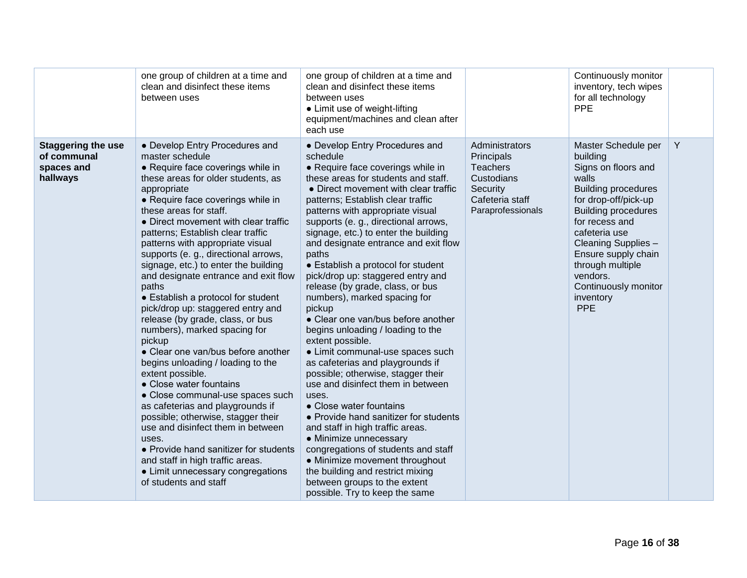|                                                                    | one group of children at a time and<br>clean and disinfect these items<br>between uses                                                                                                                                                                                                                                                                                                                                                                                                                                                                                                                                                                                                                                                                                                                                                                                                                                                                                                                                                                 | one group of children at a time and<br>clean and disinfect these items<br>between uses<br>• Limit use of weight-lifting<br>equipment/machines and clean after<br>each use                                                                                                                                                                                                                                                                                                                                                                                                                                                                                                                                                                                                                                                                                                                                                                                                                                                                                                                                     |                                                                                                                   | Continuously monitor<br>inventory, tech wipes<br>for all technology<br><b>PPE</b>                                                                                                                                                                                                                                |   |
|--------------------------------------------------------------------|--------------------------------------------------------------------------------------------------------------------------------------------------------------------------------------------------------------------------------------------------------------------------------------------------------------------------------------------------------------------------------------------------------------------------------------------------------------------------------------------------------------------------------------------------------------------------------------------------------------------------------------------------------------------------------------------------------------------------------------------------------------------------------------------------------------------------------------------------------------------------------------------------------------------------------------------------------------------------------------------------------------------------------------------------------|---------------------------------------------------------------------------------------------------------------------------------------------------------------------------------------------------------------------------------------------------------------------------------------------------------------------------------------------------------------------------------------------------------------------------------------------------------------------------------------------------------------------------------------------------------------------------------------------------------------------------------------------------------------------------------------------------------------------------------------------------------------------------------------------------------------------------------------------------------------------------------------------------------------------------------------------------------------------------------------------------------------------------------------------------------------------------------------------------------------|-------------------------------------------------------------------------------------------------------------------|------------------------------------------------------------------------------------------------------------------------------------------------------------------------------------------------------------------------------------------------------------------------------------------------------------------|---|
| <b>Staggering the use</b><br>of communal<br>spaces and<br>hallways | • Develop Entry Procedures and<br>master schedule<br>• Require face coverings while in<br>these areas for older students, as<br>appropriate<br>• Require face coverings while in<br>these areas for staff.<br>• Direct movement with clear traffic<br>patterns; Establish clear traffic<br>patterns with appropriate visual<br>supports (e. g., directional arrows,<br>signage, etc.) to enter the building<br>and designate entrance and exit flow<br>paths<br>• Establish a protocol for student<br>pick/drop up: staggered entry and<br>release (by grade, class, or bus<br>numbers), marked spacing for<br>pickup<br>• Clear one van/bus before another<br>begins unloading / loading to the<br>extent possible.<br>• Close water fountains<br>• Close communal-use spaces such<br>as cafeterias and playgrounds if<br>possible; otherwise, stagger their<br>use and disinfect them in between<br>uses.<br>• Provide hand sanitizer for students<br>and staff in high traffic areas.<br>• Limit unnecessary congregations<br>of students and staff | • Develop Entry Procedures and<br>schedule<br>• Require face coverings while in<br>these areas for students and staff.<br>• Direct movement with clear traffic<br>patterns; Establish clear traffic<br>patterns with appropriate visual<br>supports (e. g., directional arrows,<br>signage, etc.) to enter the building<br>and designate entrance and exit flow<br>paths<br>• Establish a protocol for student<br>pick/drop up: staggered entry and<br>release (by grade, class, or bus<br>numbers), marked spacing for<br>pickup<br>• Clear one van/bus before another<br>begins unloading / loading to the<br>extent possible.<br>• Limit communal-use spaces such<br>as cafeterias and playgrounds if<br>possible; otherwise, stagger their<br>use and disinfect them in between<br>uses.<br>• Close water fountains<br>• Provide hand sanitizer for students<br>and staff in high traffic areas.<br>• Minimize unnecessary<br>congregations of students and staff<br>• Minimize movement throughout<br>the building and restrict mixing<br>between groups to the extent<br>possible. Try to keep the same | Administrators<br>Principals<br><b>Teachers</b><br>Custodians<br>Security<br>Cafeteria staff<br>Paraprofessionals | Master Schedule per<br>building<br>Signs on floors and<br>walls<br><b>Building procedures</b><br>for drop-off/pick-up<br><b>Building procedures</b><br>for recess and<br>cafeteria use<br>Cleaning Supplies -<br>Ensure supply chain<br>through multiple<br>vendors.<br>Continuously monitor<br>inventory<br>PPE | Y |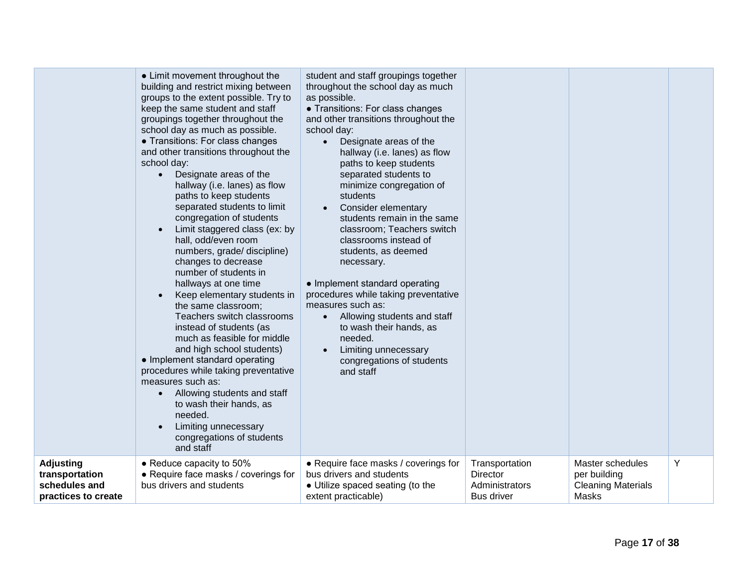|                                                                            | • Limit movement throughout the<br>building and restrict mixing between<br>groups to the extent possible. Try to<br>keep the same student and staff<br>groupings together throughout the<br>school day as much as possible.<br>• Transitions: For class changes<br>and other transitions throughout the<br>school day:<br>Designate areas of the<br>$\bullet$<br>hallway (i.e. lanes) as flow<br>paths to keep students<br>separated students to limit<br>congregation of students<br>Limit staggered class (ex: by<br>hall, odd/even room<br>numbers, grade/ discipline)<br>changes to decrease<br>number of students in<br>hallways at one time<br>Keep elementary students in<br>$\bullet$<br>the same classroom;<br>Teachers switch classrooms<br>instead of students (as<br>much as feasible for middle<br>and high school students)<br>• Implement standard operating<br>procedures while taking preventative<br>measures such as:<br>Allowing students and staff<br>to wash their hands, as<br>needed.<br>Limiting unnecessary<br>congregations of students<br>and staff | student and staff groupings together<br>throughout the school day as much<br>as possible.<br>• Transitions: For class changes<br>and other transitions throughout the<br>school day:<br>Designate areas of the<br>hallway (i.e. lanes) as flow<br>paths to keep students<br>separated students to<br>minimize congregation of<br>students<br>Consider elementary<br>students remain in the same<br>classroom; Teachers switch<br>classrooms instead of<br>students, as deemed<br>necessary.<br>• Implement standard operating<br>procedures while taking preventative<br>measures such as:<br>Allowing students and staff<br>$\bullet$<br>to wash their hands, as<br>needed.<br>Limiting unnecessary<br>congregations of students<br>and staff |                                                                   |                                                                        |   |
|----------------------------------------------------------------------------|---------------------------------------------------------------------------------------------------------------------------------------------------------------------------------------------------------------------------------------------------------------------------------------------------------------------------------------------------------------------------------------------------------------------------------------------------------------------------------------------------------------------------------------------------------------------------------------------------------------------------------------------------------------------------------------------------------------------------------------------------------------------------------------------------------------------------------------------------------------------------------------------------------------------------------------------------------------------------------------------------------------------------------------------------------------------------------|------------------------------------------------------------------------------------------------------------------------------------------------------------------------------------------------------------------------------------------------------------------------------------------------------------------------------------------------------------------------------------------------------------------------------------------------------------------------------------------------------------------------------------------------------------------------------------------------------------------------------------------------------------------------------------------------------------------------------------------------|-------------------------------------------------------------------|------------------------------------------------------------------------|---|
| <b>Adjusting</b><br>transportation<br>schedules and<br>practices to create | • Reduce capacity to 50%<br>• Require face masks / coverings for<br>bus drivers and students                                                                                                                                                                                                                                                                                                                                                                                                                                                                                                                                                                                                                                                                                                                                                                                                                                                                                                                                                                                    | • Require face masks / coverings for<br>bus drivers and students<br>• Utilize spaced seating (to the<br>extent practicable)                                                                                                                                                                                                                                                                                                                                                                                                                                                                                                                                                                                                                    | Transportation<br>Director<br>Administrators<br><b>Bus driver</b> | Master schedules<br>per building<br><b>Cleaning Materials</b><br>Masks | Y |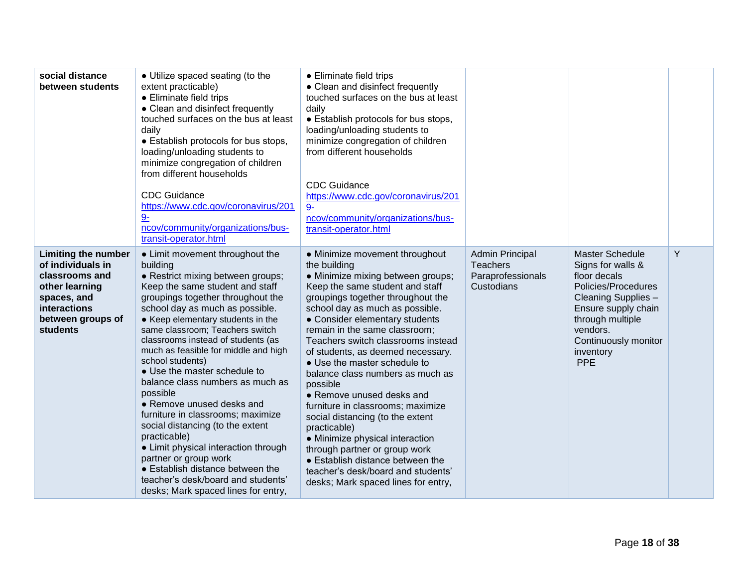| social distance<br>between students                                                                                                                        | • Utilize spaced seating (to the<br>extent practicable)<br>• Eliminate field trips<br>• Clean and disinfect frequently<br>touched surfaces on the bus at least<br>daily<br>• Establish protocols for bus stops,<br>loading/unloading students to<br>minimize congregation of children<br>from different households<br><b>CDC Guidance</b><br>https://www.cdc.gov/coronavirus/201<br>$9 -$<br>ncov/community/organizations/bus-<br>transit-operator.html                                                                                                                                                                                                                                                                                                       | • Eliminate field trips<br>• Clean and disinfect frequently<br>touched surfaces on the bus at least<br>daily<br>• Establish protocols for bus stops,<br>loading/unloading students to<br>minimize congregation of children<br>from different households<br><b>CDC Guidance</b><br>https://www.cdc.gov/coronavirus/201<br>$9-$<br>ncov/community/organizations/bus-<br>transit-operator.html                                                                                                                                                                                                                                                                                                                                             |                                                                              |                                                                                                                                                                                                                     |   |
|------------------------------------------------------------------------------------------------------------------------------------------------------------|---------------------------------------------------------------------------------------------------------------------------------------------------------------------------------------------------------------------------------------------------------------------------------------------------------------------------------------------------------------------------------------------------------------------------------------------------------------------------------------------------------------------------------------------------------------------------------------------------------------------------------------------------------------------------------------------------------------------------------------------------------------|-----------------------------------------------------------------------------------------------------------------------------------------------------------------------------------------------------------------------------------------------------------------------------------------------------------------------------------------------------------------------------------------------------------------------------------------------------------------------------------------------------------------------------------------------------------------------------------------------------------------------------------------------------------------------------------------------------------------------------------------|------------------------------------------------------------------------------|---------------------------------------------------------------------------------------------------------------------------------------------------------------------------------------------------------------------|---|
| <b>Limiting the number</b><br>of individuals in<br>classrooms and<br>other learning<br>spaces, and<br>interactions<br>between groups of<br><b>students</b> | • Limit movement throughout the<br>building<br>• Restrict mixing between groups;<br>Keep the same student and staff<br>groupings together throughout the<br>school day as much as possible.<br>• Keep elementary students in the<br>same classroom; Teachers switch<br>classrooms instead of students (as<br>much as feasible for middle and high<br>school students)<br>• Use the master schedule to<br>balance class numbers as much as<br>possible<br>• Remove unused desks and<br>furniture in classrooms; maximize<br>social distancing (to the extent<br>practicable)<br>• Limit physical interaction through<br>partner or group work<br>• Establish distance between the<br>teacher's desk/board and students'<br>desks; Mark spaced lines for entry, | • Minimize movement throughout<br>the building<br>· Minimize mixing between groups;<br>Keep the same student and staff<br>groupings together throughout the<br>school day as much as possible.<br>• Consider elementary students<br>remain in the same classroom;<br>Teachers switch classrooms instead<br>of students, as deemed necessary.<br>• Use the master schedule to<br>balance class numbers as much as<br>possible<br>• Remove unused desks and<br>furniture in classrooms; maximize<br>social distancing (to the extent<br>practicable)<br>• Minimize physical interaction<br>through partner or group work<br>• Establish distance between the<br>teacher's desk/board and students'<br>desks; Mark spaced lines for entry, | <b>Admin Principal</b><br><b>Teachers</b><br>Paraprofessionals<br>Custodians | <b>Master Schedule</b><br>Signs for walls &<br>floor decals<br>Policies/Procedures<br>Cleaning Supplies -<br>Ensure supply chain<br>through multiple<br>vendors.<br>Continuously monitor<br>inventory<br><b>PPE</b> | Y |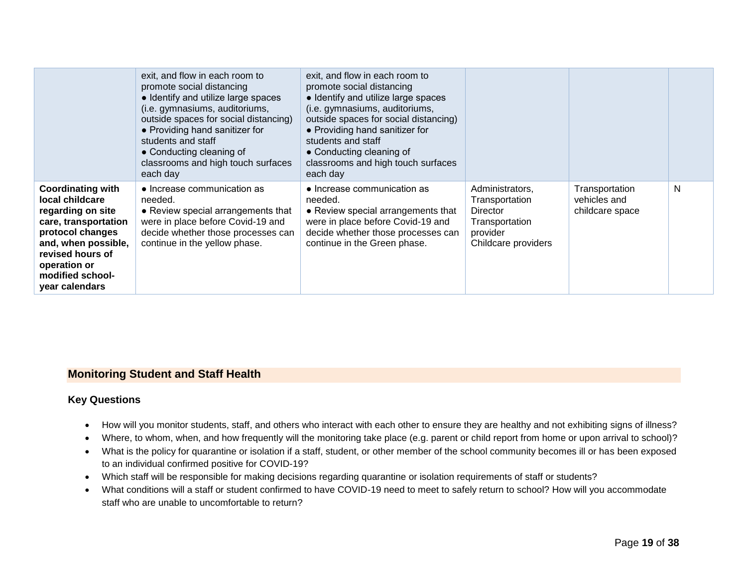|                                                                                                                                                                                                               | exit, and flow in each room to<br>promote social distancing<br>• Identify and utilize large spaces<br>(i.e. gymnasiums, auditoriums,<br>outside spaces for social distancing)<br>• Providing hand sanitizer for<br>students and staff<br>• Conducting cleaning of<br>classrooms and high touch surfaces<br>each day | exit, and flow in each room to<br>promote social distancing<br>• Identify and utilize large spaces<br>(i.e. gymnasiums, auditoriums,<br>outside spaces for social distancing)<br>• Providing hand sanitizer for<br>students and staff<br>• Conducting cleaning of<br>classrooms and high touch surfaces<br>each day |                                                                                                           |                                                   |   |
|---------------------------------------------------------------------------------------------------------------------------------------------------------------------------------------------------------------|---------------------------------------------------------------------------------------------------------------------------------------------------------------------------------------------------------------------------------------------------------------------------------------------------------------------|---------------------------------------------------------------------------------------------------------------------------------------------------------------------------------------------------------------------------------------------------------------------------------------------------------------------|-----------------------------------------------------------------------------------------------------------|---------------------------------------------------|---|
| <b>Coordinating with</b><br>local childcare<br>regarding on site<br>care, transportation<br>protocol changes<br>and, when possible,<br>revised hours of<br>operation or<br>modified school-<br>year calendars | • Increase communication as<br>needed.<br>• Review special arrangements that<br>were in place before Covid-19 and<br>decide whether those processes can<br>continue in the yellow phase.                                                                                                                            | • Increase communication as<br>needed.<br>• Review special arrangements that<br>were in place before Covid-19 and<br>decide whether those processes can<br>continue in the Green phase.                                                                                                                             | Administrators,<br>Transportation<br><b>Director</b><br>Transportation<br>provider<br>Childcare providers | Transportation<br>vehicles and<br>childcare space | N |

#### <span id="page-18-0"></span>**Monitoring Student and Staff Health**

#### **Key Questions**

- How will you monitor students, staff, and others who interact with each other to ensure they are healthy and not exhibiting signs of illness?
- Where, to whom, when, and how frequently will the monitoring take place (e.g. parent or child report from home or upon arrival to school)?
- What is the policy for quarantine or isolation if a staff, student, or other member of the school community becomes ill or has been exposed to an individual confirmed positive for COVID-19?
- Which staff will be responsible for making decisions regarding quarantine or isolation requirements of staff or students?
- What conditions will a staff or student confirmed to have COVID-19 need to meet to safely return to school? How will you accommodate staff who are unable to uncomfortable to return?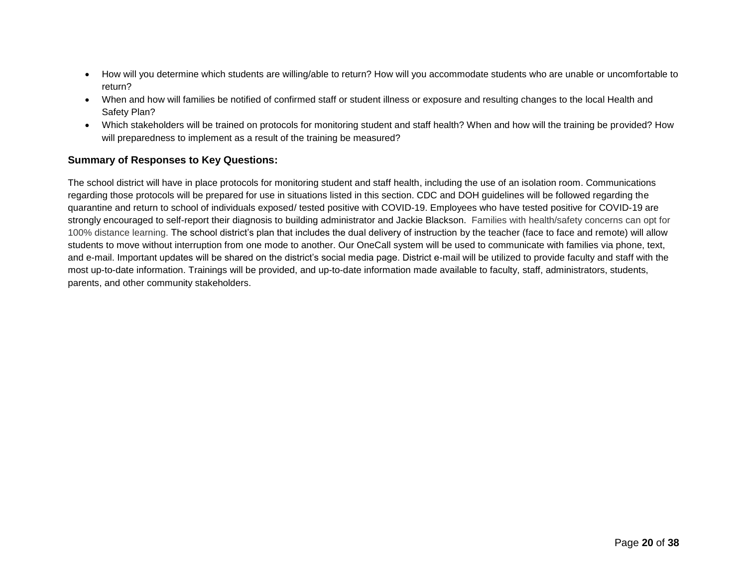- How will you determine which students are willing/able to return? How will you accommodate students who are unable or uncomfortable to return?
- When and how will families be notified of confirmed staff or student illness or exposure and resulting changes to the local Health and Safety Plan?
- Which stakeholders will be trained on protocols for monitoring student and staff health? When and how will the training be provided? How will preparedness to implement as a result of the training be measured?

#### **Summary of Responses to Key Questions:**

The school district will have in place protocols for monitoring student and staff health, including the use of an isolation room. Communications regarding those protocols will be prepared for use in situations listed in this section. CDC and DOH guidelines will be followed regarding the quarantine and return to school of individuals exposed/ tested positive with COVID-19. Employees who have tested positive for COVID-19 are strongly encouraged to self-report their diagnosis to building administrator and Jackie Blackson. Families with health/safety concerns can opt for 100% distance learning. The school district's plan that includes the dual delivery of instruction by the teacher (face to face and remote) will allow students to move without interruption from one mode to another. Our OneCall system will be used to communicate with families via phone, text, and e-mail. Important updates will be shared on the district's social media page. District e-mail will be utilized to provide faculty and staff with the most up-to-date information. Trainings will be provided, and up-to-date information made available to faculty, staff, administrators, students, parents, and other community stakeholders.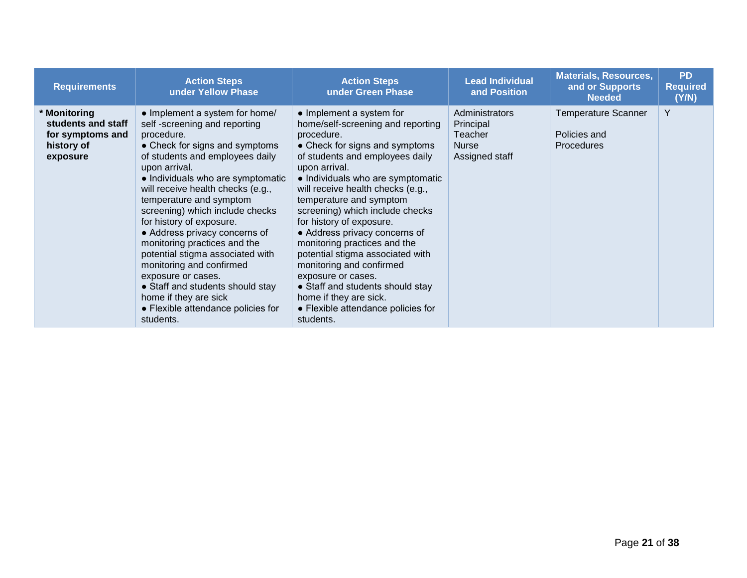| <b>Requirements</b>                                                              | <b>Action Steps</b><br>under Yellow Phase                                                                                                                                                                                                                                                                                                                                                                                                                                                                                                                                                                     | <b>Action Steps</b><br>under Green Phase                                                                                                                                                                                                                                                                                                                                                                                                                                                                                                                                                                      | <b>Lead Individual</b><br>and Position                            | <b>Materials, Resources,</b><br>and or Supports<br><b>Needed</b> | <b>PD</b><br><b>Required</b><br>(Y/N) |
|----------------------------------------------------------------------------------|---------------------------------------------------------------------------------------------------------------------------------------------------------------------------------------------------------------------------------------------------------------------------------------------------------------------------------------------------------------------------------------------------------------------------------------------------------------------------------------------------------------------------------------------------------------------------------------------------------------|---------------------------------------------------------------------------------------------------------------------------------------------------------------------------------------------------------------------------------------------------------------------------------------------------------------------------------------------------------------------------------------------------------------------------------------------------------------------------------------------------------------------------------------------------------------------------------------------------------------|-------------------------------------------------------------------|------------------------------------------------------------------|---------------------------------------|
| * Monitoring<br>students and staff<br>for symptoms and<br>history of<br>exposure | • Implement a system for home/<br>self-screening and reporting<br>procedure.<br>• Check for signs and symptoms<br>of students and employees daily<br>upon arrival.<br>• Individuals who are symptomatic<br>will receive health checks (e.g.,<br>temperature and symptom<br>screening) which include checks<br>for history of exposure.<br>• Address privacy concerns of<br>monitoring practices and the<br>potential stigma associated with<br>monitoring and confirmed<br>exposure or cases.<br>• Staff and students should stay<br>home if they are sick<br>• Flexible attendance policies for<br>students. | • Implement a system for<br>home/self-screening and reporting<br>procedure.<br>• Check for signs and symptoms<br>of students and employees daily<br>upon arrival.<br>• Individuals who are symptomatic<br>will receive health checks (e.g.,<br>temperature and symptom<br>screening) which include checks<br>for history of exposure.<br>• Address privacy concerns of<br>monitoring practices and the<br>potential stigma associated with<br>monitoring and confirmed<br>exposure or cases.<br>• Staff and students should stay<br>home if they are sick.<br>• Flexible attendance policies for<br>students. | Administrators<br>Principal<br>Teacher<br>Nurse<br>Assigned staff | <b>Temperature Scanner</b><br>Policies and<br>Procedures         | Y                                     |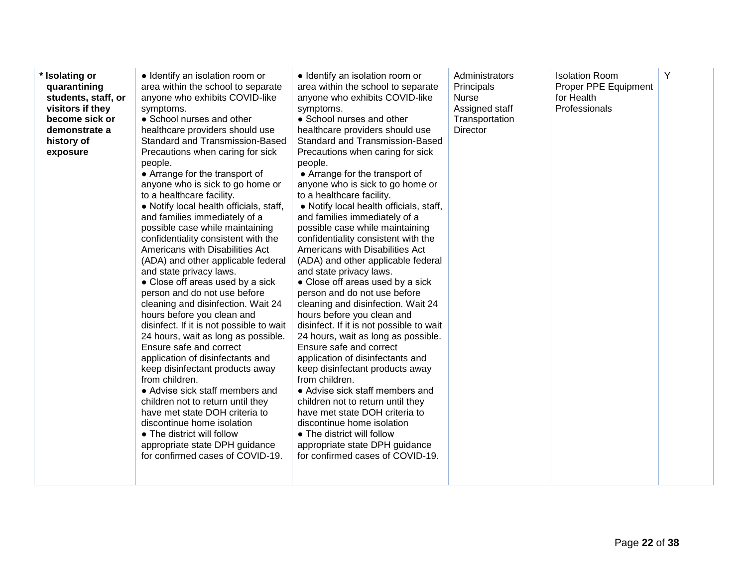| * Isolating or<br>quarantining<br>students, staff, or<br>visitors if they<br>become sick or<br>demonstrate a<br>history of<br>exposure | • Identify an isolation room or<br>area within the school to separate<br>anyone who exhibits COVID-like<br>symptoms.<br>• School nurses and other<br>healthcare providers should use<br>Standard and Transmission-Based<br>Precautions when caring for sick<br>people.<br>• Arrange for the transport of<br>anyone who is sick to go home or<br>to a healthcare facility.<br>• Notify local health officials, staff,<br>and families immediately of a<br>possible case while maintaining<br>confidentiality consistent with the<br>Americans with Disabilities Act<br>(ADA) and other applicable federal<br>and state privacy laws.<br>• Close off areas used by a sick<br>person and do not use before<br>cleaning and disinfection. Wait 24<br>hours before you clean and<br>disinfect. If it is not possible to wait<br>24 hours, wait as long as possible.<br>Ensure safe and correct<br>application of disinfectants and<br>keep disinfectant products away<br>from children.<br>• Advise sick staff members and<br>children not to return until they<br>have met state DOH criteria to<br>discontinue home isolation<br>• The district will follow<br>appropriate state DPH guidance<br>for confirmed cases of COVID-19. | • Identify an isolation room or<br>area within the school to separate<br>anyone who exhibits COVID-like<br>symptoms.<br>• School nurses and other<br>healthcare providers should use<br><b>Standard and Transmission-Based</b><br>Precautions when caring for sick<br>people.<br>• Arrange for the transport of<br>anyone who is sick to go home or<br>to a healthcare facility.<br>• Notify local health officials, staff,<br>and families immediately of a<br>possible case while maintaining<br>confidentiality consistent with the<br>Americans with Disabilities Act<br>(ADA) and other applicable federal<br>and state privacy laws.<br>• Close off areas used by a sick<br>person and do not use before<br>cleaning and disinfection. Wait 24<br>hours before you clean and<br>disinfect. If it is not possible to wait<br>24 hours, wait as long as possible.<br>Ensure safe and correct<br>application of disinfectants and<br>keep disinfectant products away<br>from children.<br>• Advise sick staff members and<br>children not to return until they<br>have met state DOH criteria to<br>discontinue home isolation<br>• The district will follow<br>appropriate state DPH guidance<br>for confirmed cases of COVID-19. | Administrators<br>Principals<br><b>Nurse</b><br>Assigned staff<br>Transportation<br><b>Director</b> | <b>Isolation Room</b><br>Proper PPE Equipment<br>for Health<br>Professionals | Y |
|----------------------------------------------------------------------------------------------------------------------------------------|--------------------------------------------------------------------------------------------------------------------------------------------------------------------------------------------------------------------------------------------------------------------------------------------------------------------------------------------------------------------------------------------------------------------------------------------------------------------------------------------------------------------------------------------------------------------------------------------------------------------------------------------------------------------------------------------------------------------------------------------------------------------------------------------------------------------------------------------------------------------------------------------------------------------------------------------------------------------------------------------------------------------------------------------------------------------------------------------------------------------------------------------------------------------------------------------------------------------------------|---------------------------------------------------------------------------------------------------------------------------------------------------------------------------------------------------------------------------------------------------------------------------------------------------------------------------------------------------------------------------------------------------------------------------------------------------------------------------------------------------------------------------------------------------------------------------------------------------------------------------------------------------------------------------------------------------------------------------------------------------------------------------------------------------------------------------------------------------------------------------------------------------------------------------------------------------------------------------------------------------------------------------------------------------------------------------------------------------------------------------------------------------------------------------------------------------------------------------------------|-----------------------------------------------------------------------------------------------------|------------------------------------------------------------------------------|---|
|----------------------------------------------------------------------------------------------------------------------------------------|--------------------------------------------------------------------------------------------------------------------------------------------------------------------------------------------------------------------------------------------------------------------------------------------------------------------------------------------------------------------------------------------------------------------------------------------------------------------------------------------------------------------------------------------------------------------------------------------------------------------------------------------------------------------------------------------------------------------------------------------------------------------------------------------------------------------------------------------------------------------------------------------------------------------------------------------------------------------------------------------------------------------------------------------------------------------------------------------------------------------------------------------------------------------------------------------------------------------------------|---------------------------------------------------------------------------------------------------------------------------------------------------------------------------------------------------------------------------------------------------------------------------------------------------------------------------------------------------------------------------------------------------------------------------------------------------------------------------------------------------------------------------------------------------------------------------------------------------------------------------------------------------------------------------------------------------------------------------------------------------------------------------------------------------------------------------------------------------------------------------------------------------------------------------------------------------------------------------------------------------------------------------------------------------------------------------------------------------------------------------------------------------------------------------------------------------------------------------------------|-----------------------------------------------------------------------------------------------------|------------------------------------------------------------------------------|---|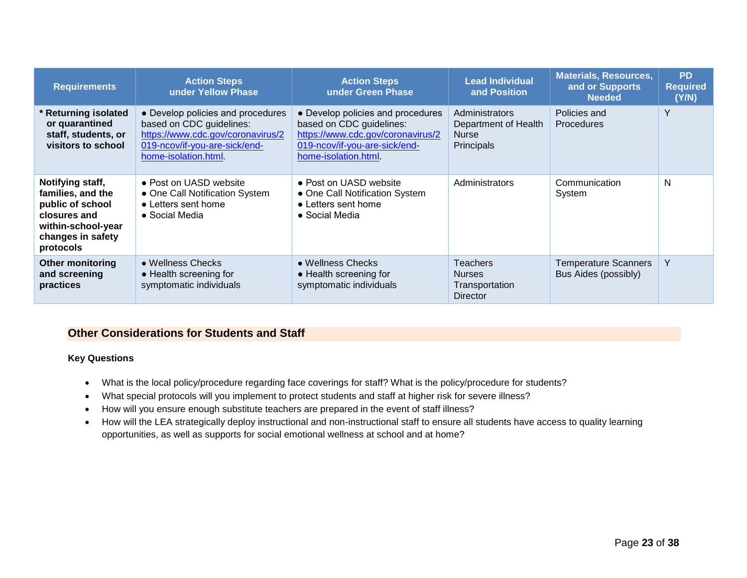| <b>Requirements</b>                                                                                                               | <b>Action Steps</b><br><b>Action Steps</b><br>under Yellow Phase<br>under Green Phase                                                                       |                                                                                                                                                             | <b>Lead Individual</b><br>and Position                                      | <b>Materials, Resources,</b><br>and or Supports<br><b>Needed</b> | <b>PD</b><br><b>Required</b><br>(Y/N) |
|-----------------------------------------------------------------------------------------------------------------------------------|-------------------------------------------------------------------------------------------------------------------------------------------------------------|-------------------------------------------------------------------------------------------------------------------------------------------------------------|-----------------------------------------------------------------------------|------------------------------------------------------------------|---------------------------------------|
| <b>Returning isolated</b><br>or quarantined<br>staff, students, or<br>visitors to school                                          | • Develop policies and procedures<br>based on CDC guidelines:<br>https://www.cdc.gov/coronavirus/2<br>019-ncov/if-you-are-sick/end-<br>home-isolation.html. | • Develop policies and procedures<br>based on CDC guidelines:<br>https://www.cdc.gov/coronavirus/2<br>019-ncov/if-you-are-sick/end-<br>home-isolation.html. | Administrators<br>Department of Health<br><b>Nurse</b><br><b>Principals</b> | Policies and<br><b>Procedures</b>                                | Y                                     |
| Notifying staff,<br>families, and the<br>public of school<br>closures and<br>within-school-year<br>changes in safety<br>protocols | • Post on UASD website<br>• One Call Notification System<br>• Letters sent home<br>• Social Media                                                           | • Post on UASD website<br>• One Call Notification System<br>• Letters sent home<br>• Social Media                                                           | Administrators                                                              | Communication<br>System                                          | N                                     |
| <b>Other monitoring</b><br>and screening<br>practices                                                                             | • Wellness Checks<br>• Health screening for<br>symptomatic individuals                                                                                      | • Wellness Checks<br>• Health screening for<br>symptomatic individuals                                                                                      | <b>Teachers</b><br><b>Nurses</b><br>Transportation<br><b>Director</b>       | <b>Temperature Scanners</b><br>Bus Aides (possibly)              | Y                                     |

#### <span id="page-22-0"></span>**Other Considerations for Students and Staff**

#### **Key Questions**

- What is the local policy/procedure regarding face coverings for staff? What is the policy/procedure for students?
- What special protocols will you implement to protect students and staff at higher risk for severe illness?
- How will you ensure enough substitute teachers are prepared in the event of staff illness?
- How will the LEA strategically deploy instructional and non-instructional staff to ensure all students have access to quality learning opportunities, as well as supports for social emotional wellness at school and at home?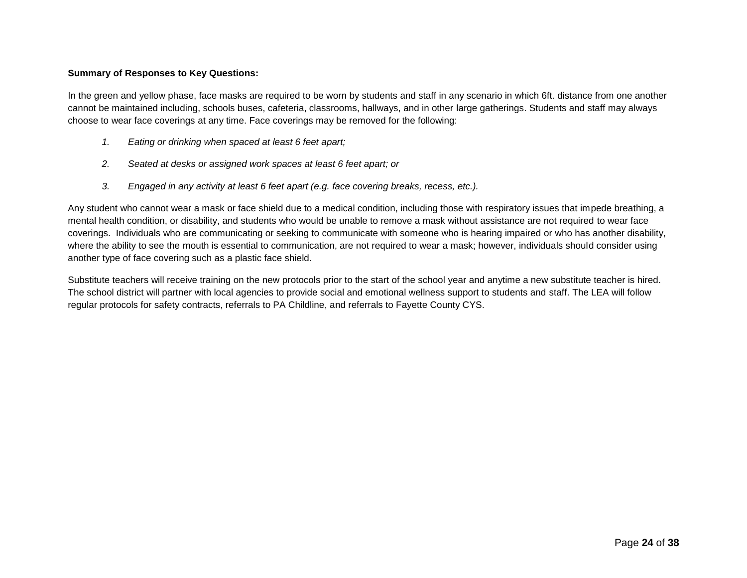#### **Summary of Responses to Key Questions:**

In the green and yellow phase, face masks are required to be worn by students and staff in any scenario in which 6ft. distance from one another cannot be maintained including, schools buses, cafeteria, classrooms, hallways, and in other large gatherings. Students and staff may always choose to wear face coverings at any time. Face coverings may be removed for the following:

- *1. Eating or drinking when spaced at least 6 feet apart;*
- *2. Seated at desks or assigned work spaces at least 6 feet apart; or*
- *3. Engaged in any activity at least 6 feet apart (e.g. face covering breaks, recess, etc.).*

Any student who cannot wear a mask or face shield due to a medical condition, including those with respiratory issues that impede breathing, a mental health condition, or disability, and students who would be unable to remove a mask without assistance are not required to wear face coverings. Individuals who are communicating or seeking to communicate with someone who is hearing impaired or who has another disability, where the ability to see the mouth is essential to communication, are not required to wear a mask; however, individuals should consider using another type of face covering such as a plastic face shield.

Substitute teachers will receive training on the new protocols prior to the start of the school year and anytime a new substitute teacher is hired. The school district will partner with local agencies to provide social and emotional wellness support to students and staff. The LEA will follow regular protocols for safety contracts, referrals to PA Childline, and referrals to Fayette County CYS.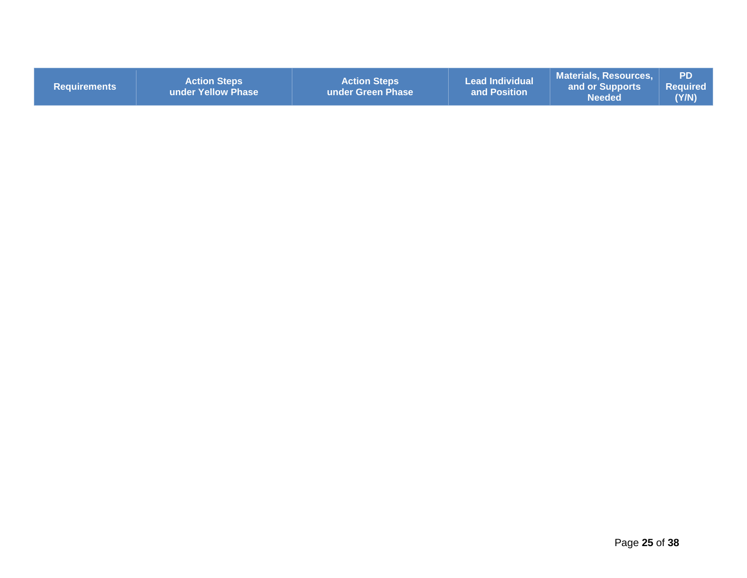| <b>Requirements</b> | <b>Action Steps</b><br><b>Lunder Yellow Phase</b> | <b>Action Steps</b><br>under Green Phase | <b>Lead Individual</b><br>and Position | <b>Materials, Resources,</b><br>and or Supports<br><b>Needed</b> | <b>PD</b><br>Required<br>(Y/N) |
|---------------------|---------------------------------------------------|------------------------------------------|----------------------------------------|------------------------------------------------------------------|--------------------------------|
|                     |                                                   |                                          |                                        |                                                                  |                                |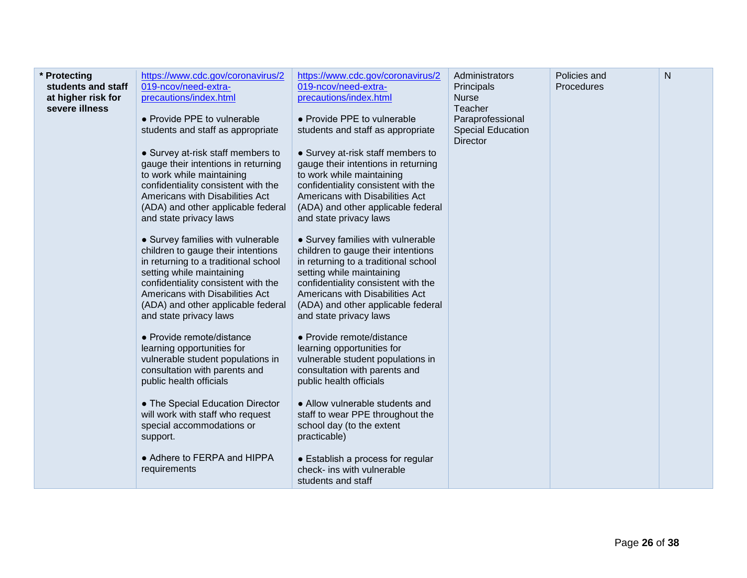| * Protecting<br>students and staff<br>at higher risk for<br>severe illness | https://www.cdc.gov/coronavirus/2<br>019-ncov/need-extra-<br>precautions/index.html<br>• Provide PPE to vulnerable<br>students and staff as appropriate<br>• Survey at-risk staff members to<br>gauge their intentions in returning<br>to work while maintaining<br>confidentiality consistent with the<br>Americans with Disabilities Act<br>(ADA) and other applicable federal<br>and state privacy laws<br>• Survey families with vulnerable<br>children to gauge their intentions<br>in returning to a traditional school<br>setting while maintaining<br>confidentiality consistent with the<br>Americans with Disabilities Act<br>(ADA) and other applicable federal<br>and state privacy laws<br>• Provide remote/distance<br>learning opportunities for<br>vulnerable student populations in<br>consultation with parents and<br>public health officials<br>• The Special Education Director<br>will work with staff who request<br>special accommodations or<br>support.<br>• Adhere to FERPA and HIPPA<br>requirements | https://www.cdc.gov/coronavirus/2<br>019-ncov/need-extra-<br>precautions/index.html<br>• Provide PPE to vulnerable<br>students and staff as appropriate<br>• Survey at-risk staff members to<br>gauge their intentions in returning<br>to work while maintaining<br>confidentiality consistent with the<br>Americans with Disabilities Act<br>(ADA) and other applicable federal<br>and state privacy laws<br>• Survey families with vulnerable<br>children to gauge their intentions<br>in returning to a traditional school<br>setting while maintaining<br>confidentiality consistent with the<br>Americans with Disabilities Act<br>(ADA) and other applicable federal<br>and state privacy laws<br>• Provide remote/distance<br>learning opportunities for<br>vulnerable student populations in<br>consultation with parents and<br>public health officials<br>• Allow vulnerable students and<br>staff to wear PPE throughout the<br>school day (to the extent<br>practicable)<br>• Establish a process for regular<br>check- ins with vulnerable<br>students and staff | Administrators<br>Principals<br><b>Nurse</b><br>Teacher<br>Paraprofessional<br><b>Special Education</b><br><b>Director</b> | Policies and<br>Procedures | $\mathsf{N}$ |
|----------------------------------------------------------------------------|----------------------------------------------------------------------------------------------------------------------------------------------------------------------------------------------------------------------------------------------------------------------------------------------------------------------------------------------------------------------------------------------------------------------------------------------------------------------------------------------------------------------------------------------------------------------------------------------------------------------------------------------------------------------------------------------------------------------------------------------------------------------------------------------------------------------------------------------------------------------------------------------------------------------------------------------------------------------------------------------------------------------------------|-------------------------------------------------------------------------------------------------------------------------------------------------------------------------------------------------------------------------------------------------------------------------------------------------------------------------------------------------------------------------------------------------------------------------------------------------------------------------------------------------------------------------------------------------------------------------------------------------------------------------------------------------------------------------------------------------------------------------------------------------------------------------------------------------------------------------------------------------------------------------------------------------------------------------------------------------------------------------------------------------------------------------------------------------------------------------------|----------------------------------------------------------------------------------------------------------------------------|----------------------------|--------------|
|----------------------------------------------------------------------------|----------------------------------------------------------------------------------------------------------------------------------------------------------------------------------------------------------------------------------------------------------------------------------------------------------------------------------------------------------------------------------------------------------------------------------------------------------------------------------------------------------------------------------------------------------------------------------------------------------------------------------------------------------------------------------------------------------------------------------------------------------------------------------------------------------------------------------------------------------------------------------------------------------------------------------------------------------------------------------------------------------------------------------|-------------------------------------------------------------------------------------------------------------------------------------------------------------------------------------------------------------------------------------------------------------------------------------------------------------------------------------------------------------------------------------------------------------------------------------------------------------------------------------------------------------------------------------------------------------------------------------------------------------------------------------------------------------------------------------------------------------------------------------------------------------------------------------------------------------------------------------------------------------------------------------------------------------------------------------------------------------------------------------------------------------------------------------------------------------------------------|----------------------------------------------------------------------------------------------------------------------------|----------------------------|--------------|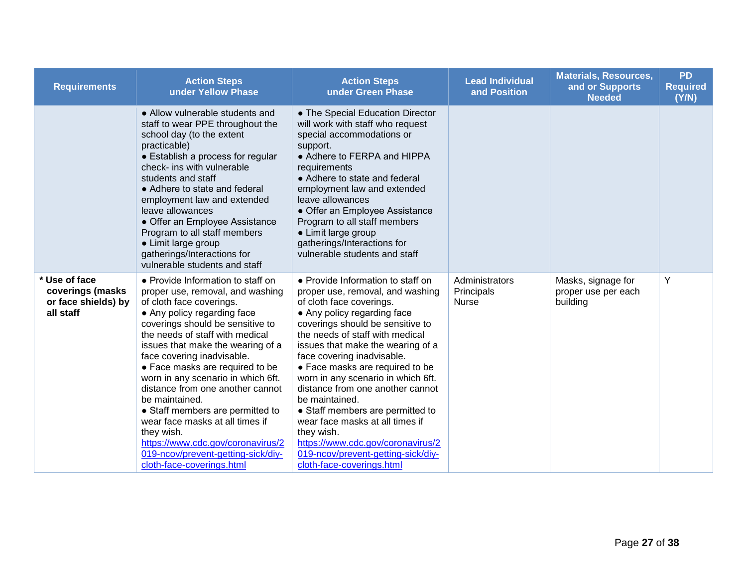| <b>Requirements</b>                                                   | <b>Action Steps</b><br>under Yellow Phase                                                                                                                                                                                                                                                                                                                                                                                                                                                                                                                                                              | <b>Action Steps</b><br>under Green Phase                                                                                                                                                                                                                                                                                                                                                                                                                                                                                                                                                               |                                              | <b>Materials, Resources,</b><br>and or Supports<br><b>Needed</b> | <b>PD</b><br><b>Required</b><br>(Y/N) |
|-----------------------------------------------------------------------|--------------------------------------------------------------------------------------------------------------------------------------------------------------------------------------------------------------------------------------------------------------------------------------------------------------------------------------------------------------------------------------------------------------------------------------------------------------------------------------------------------------------------------------------------------------------------------------------------------|--------------------------------------------------------------------------------------------------------------------------------------------------------------------------------------------------------------------------------------------------------------------------------------------------------------------------------------------------------------------------------------------------------------------------------------------------------------------------------------------------------------------------------------------------------------------------------------------------------|----------------------------------------------|------------------------------------------------------------------|---------------------------------------|
|                                                                       | • Allow vulnerable students and<br>staff to wear PPE throughout the<br>school day (to the extent<br>practicable)<br>• Establish a process for regular<br>check- ins with vulnerable<br>students and staff<br>• Adhere to state and federal<br>employment law and extended<br>leave allowances<br>• Offer an Employee Assistance<br>Program to all staff members<br>• Limit large group<br>gatherings/Interactions for<br>vulnerable students and staff                                                                                                                                                 | • The Special Education Director<br>will work with staff who request<br>special accommodations or<br>support.<br>• Adhere to FERPA and HIPPA<br>requirements<br>• Adhere to state and federal<br>employment law and extended<br>leave allowances<br>• Offer an Employee Assistance<br>Program to all staff members<br>• Limit large group<br>gatherings/Interactions for<br>vulnerable students and staff                                                                                                                                                                                              |                                              |                                                                  |                                       |
| * Use of face<br>coverings (masks<br>or face shields) by<br>all staff | • Provide Information to staff on<br>proper use, removal, and washing<br>of cloth face coverings.<br>• Any policy regarding face<br>coverings should be sensitive to<br>the needs of staff with medical<br>issues that make the wearing of a<br>face covering inadvisable.<br>• Face masks are required to be<br>worn in any scenario in which 6ft.<br>distance from one another cannot<br>be maintained.<br>• Staff members are permitted to<br>wear face masks at all times if<br>they wish.<br>https://www.cdc.gov/coronavirus/2<br>019-ncov/prevent-getting-sick/diy-<br>cloth-face-coverings.html | • Provide Information to staff on<br>proper use, removal, and washing<br>of cloth face coverings.<br>• Any policy regarding face<br>coverings should be sensitive to<br>the needs of staff with medical<br>issues that make the wearing of a<br>face covering inadvisable.<br>• Face masks are required to be<br>worn in any scenario in which 6ft.<br>distance from one another cannot<br>be maintained.<br>• Staff members are permitted to<br>wear face masks at all times if<br>they wish.<br>https://www.cdc.gov/coronavirus/2<br>019-ncov/prevent-getting-sick/diy-<br>cloth-face-coverings.html | Administrators<br>Principals<br><b>Nurse</b> | Masks, signage for<br>proper use per each<br>building            | Y                                     |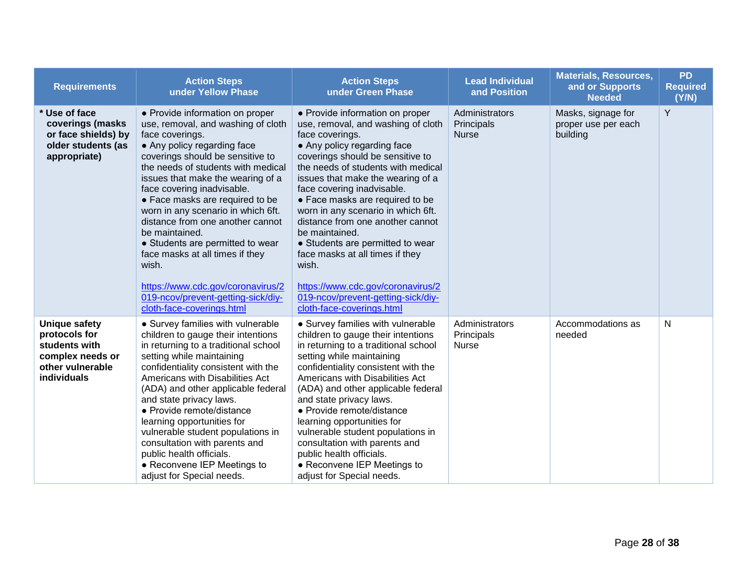| <b>Requirements</b>                                                                                    | <b>Action Steps</b><br>under Yellow Phase                                                                                                                                                                                                                                                                                                                                                                                                                                                                                                                                                   | <b>Action Steps</b><br>under Green Phase                                                                                                                                                                                                                                                                                                                                                                                                                                                                                                                                                    | <b>Lead Individual</b><br>and Position       | <b>Materials, Resources,</b><br>and or Supports<br><b>Needed</b> | <b>PD</b><br><b>Required</b><br>(Y/N) |
|--------------------------------------------------------------------------------------------------------|---------------------------------------------------------------------------------------------------------------------------------------------------------------------------------------------------------------------------------------------------------------------------------------------------------------------------------------------------------------------------------------------------------------------------------------------------------------------------------------------------------------------------------------------------------------------------------------------|---------------------------------------------------------------------------------------------------------------------------------------------------------------------------------------------------------------------------------------------------------------------------------------------------------------------------------------------------------------------------------------------------------------------------------------------------------------------------------------------------------------------------------------------------------------------------------------------|----------------------------------------------|------------------------------------------------------------------|---------------------------------------|
| * Use of face<br>coverings (masks<br>or face shields) by<br>older students (as<br>appropriate)         | • Provide information on proper<br>use, removal, and washing of cloth<br>face coverings.<br>• Any policy regarding face<br>coverings should be sensitive to<br>the needs of students with medical<br>issues that make the wearing of a<br>face covering inadvisable.<br>• Face masks are required to be<br>worn in any scenario in which 6ft.<br>distance from one another cannot<br>be maintained.<br>• Students are permitted to wear<br>face masks at all times if they<br>wish.<br>https://www.cdc.gov/coronavirus/2<br>019-ncov/prevent-getting-sick/diy-<br>cloth-face-coverings.html | • Provide information on proper<br>use, removal, and washing of cloth<br>face coverings.<br>• Any policy regarding face<br>coverings should be sensitive to<br>the needs of students with medical<br>issues that make the wearing of a<br>face covering inadvisable.<br>• Face masks are required to be<br>worn in any scenario in which 6ft.<br>distance from one another cannot<br>be maintained.<br>• Students are permitted to wear<br>face masks at all times if they<br>wish.<br>https://www.cdc.gov/coronavirus/2<br>019-ncov/prevent-getting-sick/diy-<br>cloth-face-coverings.html | Administrators<br>Principals<br><b>Nurse</b> | Masks, signage for<br>proper use per each<br>building            | Y                                     |
| Unique safety<br>protocols for<br>students with<br>complex needs or<br>other vulnerable<br>individuals | • Survey families with vulnerable<br>children to gauge their intentions<br>in returning to a traditional school<br>setting while maintaining<br>confidentiality consistent with the<br>Americans with Disabilities Act<br>(ADA) and other applicable federal<br>and state privacy laws.<br>• Provide remote/distance<br>learning opportunities for<br>vulnerable student populations in<br>consultation with parents and<br>public health officials.<br>• Reconvene IEP Meetings to<br>adjust for Special needs.                                                                            | • Survey families with vulnerable<br>children to gauge their intentions<br>in returning to a traditional school<br>setting while maintaining<br>confidentiality consistent with the<br>Americans with Disabilities Act<br>(ADA) and other applicable federal<br>and state privacy laws.<br>• Provide remote/distance<br>learning opportunities for<br>vulnerable student populations in<br>consultation with parents and<br>public health officials.<br>• Reconvene IEP Meetings to<br>adjust for Special needs.                                                                            | Administrators<br>Principals<br><b>Nurse</b> | Accommodations as<br>needed                                      | N                                     |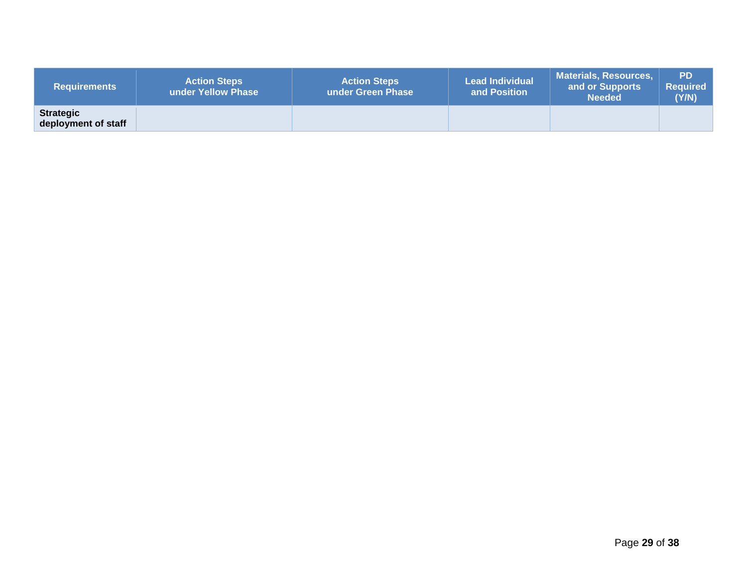| <b>Requirements</b>                     | <b>Action Steps</b><br>under Yellow Phase | <b>Action Steps</b><br>under Green Phase | <b>Lead Individual</b><br>and Position | <b>Materials, Resources,</b><br>and or Supports<br><b>Needed</b> | <b>PD</b><br><b>Required</b><br>(Y/N) |
|-----------------------------------------|-------------------------------------------|------------------------------------------|----------------------------------------|------------------------------------------------------------------|---------------------------------------|
| <b>Strategic</b><br>deployment of staff |                                           |                                          |                                        |                                                                  |                                       |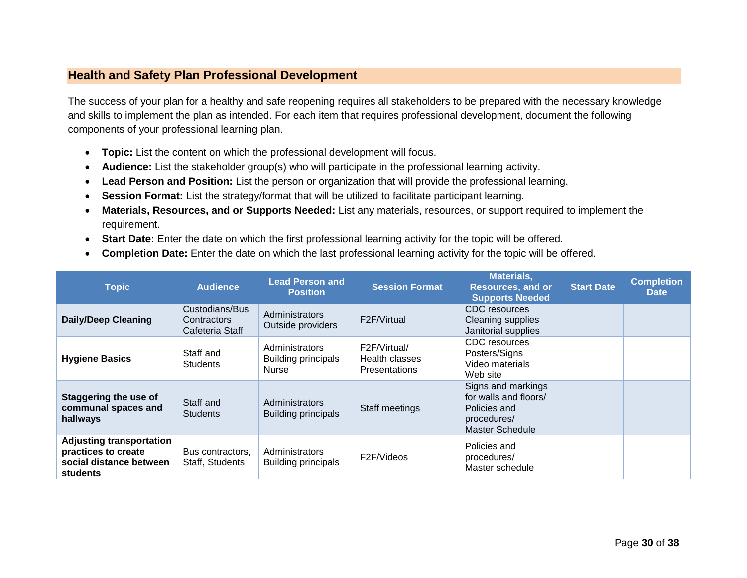#### <span id="page-29-0"></span>**Health and Safety Plan Professional Development**

The success of your plan for a healthy and safe reopening requires all stakeholders to be prepared with the necessary knowledge and skills to implement the plan as intended. For each item that requires professional development, document the following components of your professional learning plan.

- **Topic:** List the content on which the professional development will focus.
- **Audience:** List the stakeholder group(s) who will participate in the professional learning activity.
- **Lead Person and Position:** List the person or organization that will provide the professional learning.
- **Session Format:** List the strategy/format that will be utilized to facilitate participant learning.
- **Materials, Resources, and or Supports Needed:** List any materials, resources, or support required to implement the requirement.
- **Start Date:** Enter the date on which the first professional learning activity for the topic will be offered.
- **Completion Date:** Enter the date on which the last professional learning activity for the topic will be offered.

| <b>Topic</b>                                                                                         | <b>Audience</b>                                  | <b>Lead Person and</b><br><b>Position</b>                    | <b>Session Format</b>                                  | <b>Materials,</b><br><b>Resources, and or</b><br><b>Supports Needed</b>                       | <b>Start Date</b> | <b>Completion</b><br><b>Date</b> |
|------------------------------------------------------------------------------------------------------|--------------------------------------------------|--------------------------------------------------------------|--------------------------------------------------------|-----------------------------------------------------------------------------------------------|-------------------|----------------------------------|
| <b>Daily/Deep Cleaning</b>                                                                           | Custodians/Bus<br>Contractors<br>Cafeteria Staff | Administrators<br>Outside providers                          | F2F/Virtual                                            | CDC resources<br>Cleaning supplies<br>Janitorial supplies                                     |                   |                                  |
| <b>Hygiene Basics</b>                                                                                | Staff and<br><b>Students</b>                     | Administrators<br><b>Building principals</b><br><b>Nurse</b> | F2F/Virtual/<br>Health classes<br><b>Presentations</b> | CDC resources<br>Posters/Signs<br>Video materials<br>Web site                                 |                   |                                  |
| <b>Staggering the use of</b><br>communal spaces and<br>hallways                                      | Staff and<br><b>Students</b>                     | Administrators<br><b>Building principals</b>                 | Staff meetings                                         | Signs and markings<br>for walls and floors/<br>Policies and<br>procedures/<br>Master Schedule |                   |                                  |
| <b>Adjusting transportation</b><br>practices to create<br>social distance between<br><b>students</b> | Bus contractors,<br>Staff, Students              | Administrators<br><b>Building principals</b>                 | F2F/Videos                                             | Policies and<br>procedures/<br>Master schedule                                                |                   |                                  |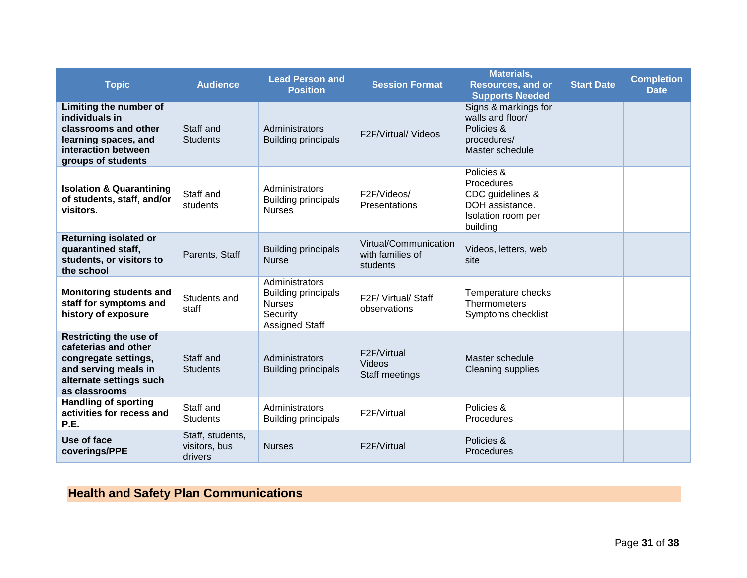| <b>Topic</b>                                                                                                                                      | <b>Audience</b>                              | <b>Lead Person and</b><br><b>Position</b>                                                          | <b>Session Format</b>                                 | <b>Materials,</b><br><b>Resources, and or</b><br><b>Supports Needed</b>                           | <b>Start Date</b> | <b>Completion</b><br><b>Date</b> |
|---------------------------------------------------------------------------------------------------------------------------------------------------|----------------------------------------------|----------------------------------------------------------------------------------------------------|-------------------------------------------------------|---------------------------------------------------------------------------------------------------|-------------------|----------------------------------|
| Limiting the number of<br>individuals in<br>classrooms and other<br>learning spaces, and<br>interaction between<br>groups of students             | Staff and<br><b>Students</b>                 | Administrators<br><b>Building principals</b>                                                       | <b>F2F/Virtual/ Videos</b>                            | Signs & markings for<br>walls and floor/<br>Policies &<br>procedures/<br>Master schedule          |                   |                                  |
| <b>Isolation &amp; Quarantining</b><br>of students, staff, and/or<br>visitors.                                                                    | Staff and<br>students                        | Administrators<br><b>Building principals</b><br><b>Nurses</b>                                      | F2F/Videos/<br><b>Presentations</b>                   | Policies &<br>Procedures<br>CDC guidelines &<br>DOH assistance.<br>Isolation room per<br>building |                   |                                  |
| <b>Returning isolated or</b><br>quarantined staff,<br>students, or visitors to<br>the school                                                      | Parents, Staff                               | <b>Building principals</b><br><b>Nurse</b>                                                         | Virtual/Communication<br>with families of<br>students | Videos, letters, web<br>site                                                                      |                   |                                  |
| <b>Monitoring students and</b><br>staff for symptoms and<br>history of exposure                                                                   | Students and<br>staff                        | Administrators<br><b>Building principals</b><br><b>Nurses</b><br>Security<br><b>Assigned Staff</b> | F2F/ Virtual/ Staff<br>observations                   | Temperature checks<br>Thermometers<br>Symptoms checklist                                          |                   |                                  |
| <b>Restricting the use of</b><br>cafeterias and other<br>congregate settings,<br>and serving meals in<br>alternate settings such<br>as classrooms | Staff and<br><b>Students</b>                 | Administrators<br><b>Building principals</b>                                                       | F2F/Virtual<br>Videos<br>Staff meetings               | Master schedule<br><b>Cleaning supplies</b>                                                       |                   |                                  |
| <b>Handling of sporting</b><br>activities for recess and<br>P.E.                                                                                  | Staff and<br><b>Students</b>                 | Administrators<br><b>Building principals</b>                                                       | F2F/Virtual                                           | Policies &<br>Procedures                                                                          |                   |                                  |
| Use of face<br>coverings/PPE                                                                                                                      | Staff, students,<br>visitors, bus<br>drivers | <b>Nurses</b>                                                                                      | F2F/Virtual                                           | Policies &<br><b>Procedures</b>                                                                   |                   |                                  |

# <span id="page-30-0"></span>**Health and Safety Plan Communications**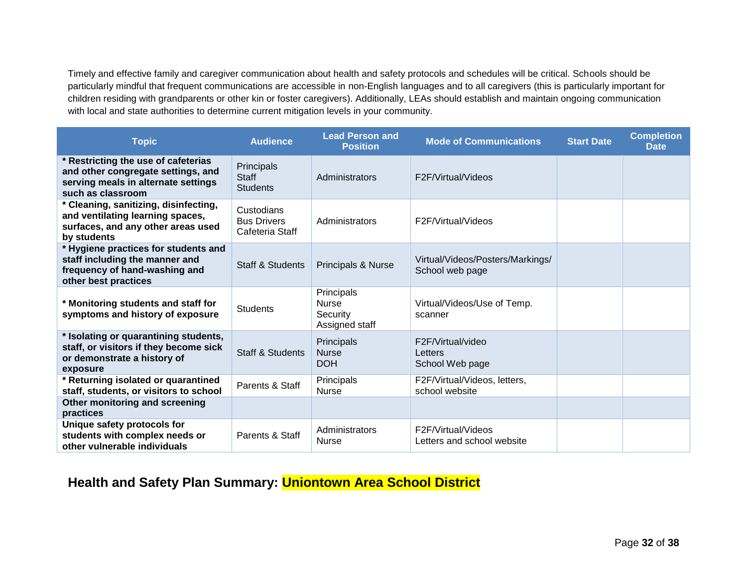Timely and effective family and caregiver communication about health and safety protocols and schedules will be critical. Schools should be particularly mindful that frequent communications are accessible in non-English languages and to all caregivers (this is particularly important for children residing with grandparents or other kin or foster caregivers). Additionally, LEAs should establish and maintain ongoing communication with local and state authorities to determine current mitigation levels in your community.

| <b>Topic</b>                                                                                                                          | <b>Audience</b>                                     | <b>Lead Person and</b><br><b>Position</b>                | <b>Mode of Communications</b>                       | <b>Start Date</b> | <b>Completion</b><br><b>Date</b> |
|---------------------------------------------------------------------------------------------------------------------------------------|-----------------------------------------------------|----------------------------------------------------------|-----------------------------------------------------|-------------------|----------------------------------|
| * Restricting the use of cafeterias<br>and other congregate settings, and<br>serving meals in alternate settings<br>such as classroom | Principals<br><b>Staff</b><br><b>Students</b>       | Administrators                                           | F2F/Virtual/Videos                                  |                   |                                  |
| * Cleaning, sanitizing, disinfecting,<br>and ventilating learning spaces,<br>surfaces, and any other areas used<br>by students        | Custodians<br><b>Bus Drivers</b><br>Cafeteria Staff | Administrators                                           | F2F/Virtual/Videos                                  |                   |                                  |
| * Hygiene practices for students and<br>staff including the manner and<br>frequency of hand-washing and<br>other best practices       | <b>Staff &amp; Students</b>                         | Principals & Nurse                                       | Virtual/Videos/Posters/Markings/<br>School web page |                   |                                  |
| * Monitoring students and staff for<br>symptoms and history of exposure                                                               | <b>Students</b>                                     | Principals<br><b>Nurse</b><br>Security<br>Assigned staff | Virtual/Videos/Use of Temp.<br>scanner              |                   |                                  |
| * Isolating or quarantining students,<br>staff, or visitors if they become sick<br>or demonstrate a history of<br>exposure            | <b>Staff &amp; Students</b>                         | Principals<br><b>Nurse</b><br><b>DOH</b>                 | F2F/Virtual/video<br>Letters<br>School Web page     |                   |                                  |
| * Returning isolated or quarantined<br>staff, students, or visitors to school                                                         | Parents & Staff                                     | Principals<br><b>Nurse</b>                               | F2F/Virtual/Videos, letters,<br>school website      |                   |                                  |
| Other monitoring and screening<br>practices                                                                                           |                                                     |                                                          |                                                     |                   |                                  |
| Unique safety protocols for<br>students with complex needs or<br>other vulnerable individuals                                         | Parents & Staff                                     | Administrators<br><b>Nurse</b>                           | F2F/Virtual/Videos<br>Letters and school website    |                   |                                  |

# <span id="page-31-0"></span>**Health and Safety Plan Summary: Uniontown Area School District**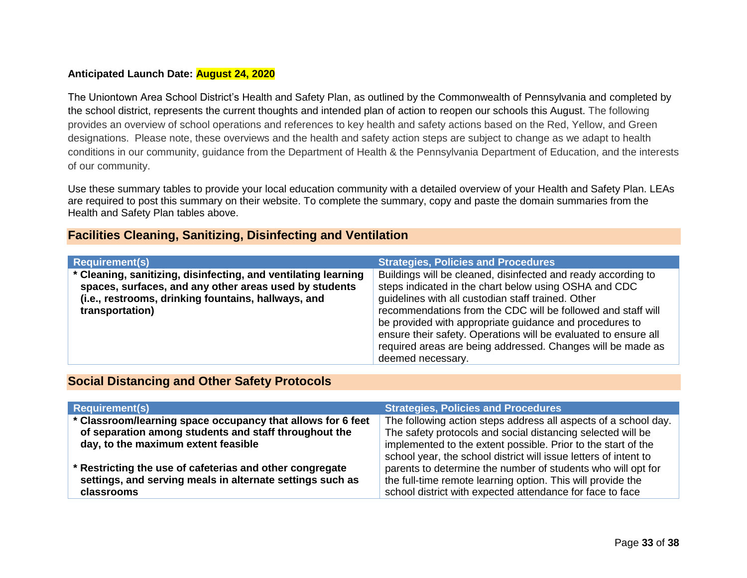#### **Anticipated Launch Date: August 24, 2020**

The Uniontown Area School District's Health and Safety Plan, as outlined by the Commonwealth of Pennsylvania and completed by the school district, represents the current thoughts and intended plan of action to reopen our schools this August. The following provides an overview of school operations and references to key health and safety actions based on the Red, Yellow, and Green designations. Please note, these overviews and the health and safety action steps are subject to change as we adapt to health conditions in our community, guidance from the Department of Health & the Pennsylvania Department of Education, and the interests of our community.

Use these summary tables to provide your local education community with a detailed overview of your Health and Safety Plan. LEAs are required to post this summary on their website. To complete the summary, copy and paste the domain summaries from the Health and Safety Plan tables above.

#### <span id="page-32-0"></span>**Facilities Cleaning, Sanitizing, Disinfecting and Ventilation**

| <b>Requirement(s)</b>                                                                                                                                                                              | <b>Strategies, Policies and Procedures</b>                                                                                                                                                                                                                                                                                                                                                                                                                     |
|----------------------------------------------------------------------------------------------------------------------------------------------------------------------------------------------------|----------------------------------------------------------------------------------------------------------------------------------------------------------------------------------------------------------------------------------------------------------------------------------------------------------------------------------------------------------------------------------------------------------------------------------------------------------------|
| * Cleaning, sanitizing, disinfecting, and ventilating learning<br>spaces, surfaces, and any other areas used by students<br>(i.e., restrooms, drinking fountains, hallways, and<br>transportation) | Buildings will be cleaned, disinfected and ready according to<br>steps indicated in the chart below using OSHA and CDC<br>guidelines with all custodian staff trained. Other<br>recommendations from the CDC will be followed and staff will<br>be provided with appropriate guidance and procedures to<br>ensure their safety. Operations will be evaluated to ensure all<br>required areas are being addressed. Changes will be made as<br>deemed necessary. |

#### <span id="page-32-1"></span>**Social Distancing and Other Safety Protocols**

| <b>Requirement(s)</b>                                                                                                | <b>Strategies, Policies and Procedures</b>                                                                                       |
|----------------------------------------------------------------------------------------------------------------------|----------------------------------------------------------------------------------------------------------------------------------|
| * Classroom/learning space occupancy that allows for 6 feet<br>of separation among students and staff throughout the | The following action steps address all aspects of a school day.<br>The safety protocols and social distancing selected will be   |
| day, to the maximum extent feasible                                                                                  | implemented to the extent possible. Prior to the start of the                                                                    |
| * Restricting the use of cafeterias and other congregate                                                             | school year, the school district will issue letters of intent to<br>parents to determine the number of students who will opt for |
| settings, and serving meals in alternate settings such as<br>classrooms                                              | the full-time remote learning option. This will provide the<br>school district with expected attendance for face to face         |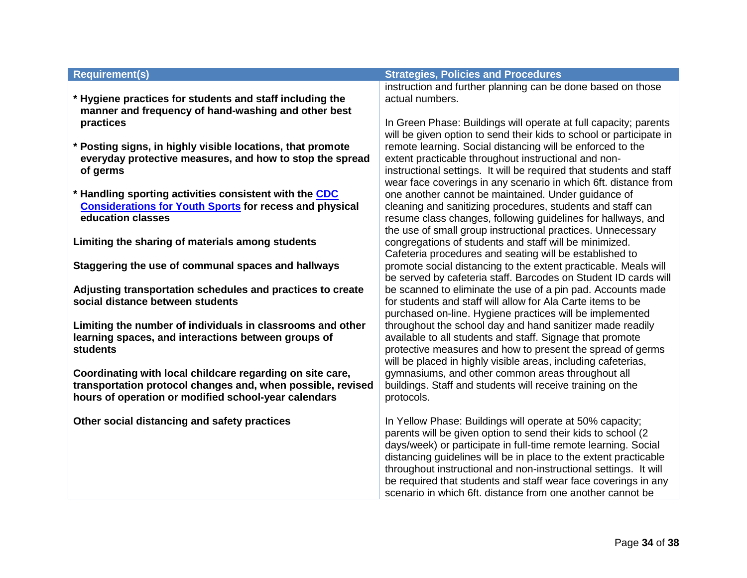| <b>Requirement(s)</b>                                                                                                                                                            | <b>Strategies, Policies and Procedures</b>                                                                                                                                                                                                                                                                                                                                                                                                                         |
|----------------------------------------------------------------------------------------------------------------------------------------------------------------------------------|--------------------------------------------------------------------------------------------------------------------------------------------------------------------------------------------------------------------------------------------------------------------------------------------------------------------------------------------------------------------------------------------------------------------------------------------------------------------|
| * Hygiene practices for students and staff including the<br>manner and frequency of hand-washing and other best                                                                  | instruction and further planning can be done based on those<br>actual numbers.                                                                                                                                                                                                                                                                                                                                                                                     |
| practices                                                                                                                                                                        | In Green Phase: Buildings will operate at full capacity; parents<br>will be given option to send their kids to school or participate in                                                                                                                                                                                                                                                                                                                            |
| * Posting signs, in highly visible locations, that promote<br>everyday protective measures, and how to stop the spread<br>of germs                                               | remote learning. Social distancing will be enforced to the<br>extent practicable throughout instructional and non-<br>instructional settings. It will be required that students and staff<br>wear face coverings in any scenario in which 6ft. distance from                                                                                                                                                                                                       |
| * Handling sporting activities consistent with the CDC<br><b>Considerations for Youth Sports for recess and physical</b><br>education classes                                    | one another cannot be maintained. Under guidance of<br>cleaning and sanitizing procedures, students and staff can<br>resume class changes, following guidelines for hallways, and<br>the use of small group instructional practices. Unnecessary                                                                                                                                                                                                                   |
| Limiting the sharing of materials among students                                                                                                                                 | congregations of students and staff will be minimized.<br>Cafeteria procedures and seating will be established to                                                                                                                                                                                                                                                                                                                                                  |
| Staggering the use of communal spaces and hallways                                                                                                                               | promote social distancing to the extent practicable. Meals will<br>be served by cafeteria staff. Barcodes on Student ID cards will                                                                                                                                                                                                                                                                                                                                 |
| Adjusting transportation schedules and practices to create<br>social distance between students                                                                                   | be scanned to eliminate the use of a pin pad. Accounts made<br>for students and staff will allow for Ala Carte items to be<br>purchased on-line. Hygiene practices will be implemented                                                                                                                                                                                                                                                                             |
| Limiting the number of individuals in classrooms and other<br>learning spaces, and interactions between groups of<br><b>students</b>                                             | throughout the school day and hand sanitizer made readily<br>available to all students and staff. Signage that promote<br>protective measures and how to present the spread of germs<br>will be placed in highly visible areas, including cafeterias,                                                                                                                                                                                                              |
| Coordinating with local childcare regarding on site care,<br>transportation protocol changes and, when possible, revised<br>hours of operation or modified school-year calendars | gymnasiums, and other common areas throughout all<br>buildings. Staff and students will receive training on the<br>protocols.                                                                                                                                                                                                                                                                                                                                      |
| Other social distancing and safety practices                                                                                                                                     | In Yellow Phase: Buildings will operate at 50% capacity;<br>parents will be given option to send their kids to school (2<br>days/week) or participate in full-time remote learning. Social<br>distancing guidelines will be in place to the extent practicable<br>throughout instructional and non-instructional settings. It will<br>be required that students and staff wear face coverings in any<br>scenario in which 6ft. distance from one another cannot be |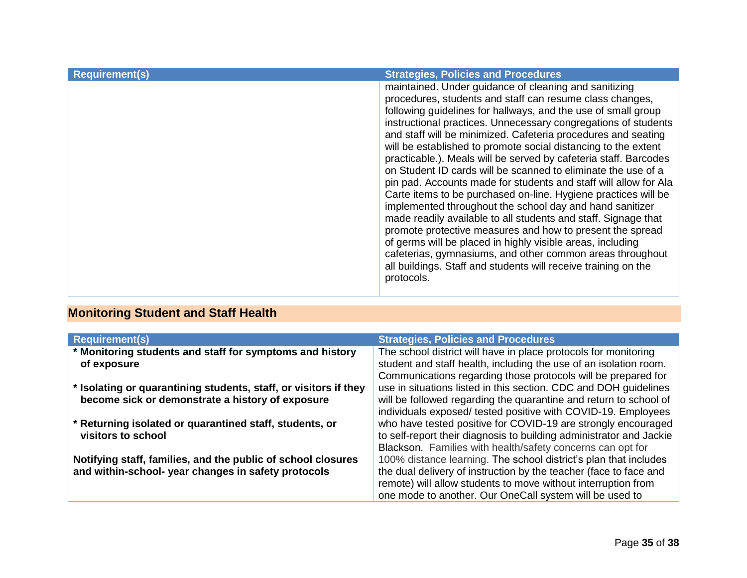| maintained. Under guidance of cleaning and sanitizing<br>procedures, students and staff can resume class changes,<br>following guidelines for hallways, and the use of small group<br>instructional practices. Unnecessary congregations of students<br>and staff will be minimized. Cafeteria procedures and seating<br>will be established to promote social distancing to the extent<br>practicable.). Meals will be served by cafeteria staff. Barcodes<br>on Student ID cards will be scanned to eliminate the use of a<br>pin pad. Accounts made for students and staff will allow for Ala<br>Carte items to be purchased on-line. Hygiene practices will be | <b>Requirement(s)</b> | <b>Strategies, Policies and Procedures</b>               |
|--------------------------------------------------------------------------------------------------------------------------------------------------------------------------------------------------------------------------------------------------------------------------------------------------------------------------------------------------------------------------------------------------------------------------------------------------------------------------------------------------------------------------------------------------------------------------------------------------------------------------------------------------------------------|-----------------------|----------------------------------------------------------|
| made readily available to all students and staff. Signage that<br>promote protective measures and how to present the spread<br>of germs will be placed in highly visible areas, including<br>cafeterias, gymnasiums, and other common areas throughout<br>all buildings. Staff and students will receive training on the<br>protocols.                                                                                                                                                                                                                                                                                                                             |                       | implemented throughout the school day and hand sanitizer |

# <span id="page-34-0"></span>**Monitoring Student and Staff Health**

| <b>Requirement(s)</b>                                            | <b>Strategies, Policies and Procedures</b>                          |
|------------------------------------------------------------------|---------------------------------------------------------------------|
| * Monitoring students and staff for symptoms and history         | The school district will have in place protocols for monitoring     |
| of exposure                                                      | student and staff health, including the use of an isolation room.   |
|                                                                  | Communications regarding those protocols will be prepared for       |
| * Isolating or quarantining students, staff, or visitors if they | use in situations listed in this section. CDC and DOH guidelines    |
| become sick or demonstrate a history of exposure                 | will be followed regarding the quarantine and return to school of   |
|                                                                  | individuals exposed/ tested positive with COVID-19. Employees       |
| * Returning isolated or quarantined staff, students, or          | who have tested positive for COVID-19 are strongly encouraged       |
| visitors to school                                               | to self-report their diagnosis to building administrator and Jackie |
|                                                                  | Blackson. Families with health/safety concerns can opt for          |
| Notifying staff, families, and the public of school closures     | 100% distance learning. The school district's plan that includes    |
| and within-school- year changes in safety protocols              | the dual delivery of instruction by the teacher (face to face and   |
|                                                                  | remote) will allow students to move without interruption from       |
|                                                                  | one mode to another. Our OneCall system will be used to             |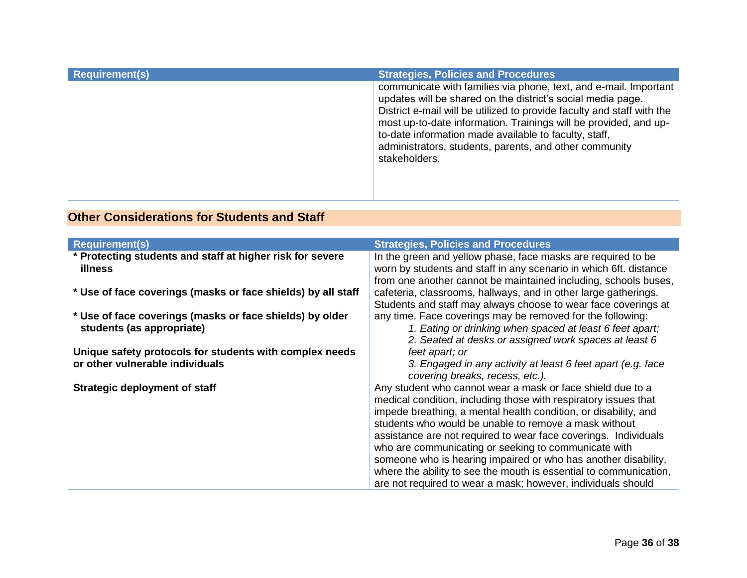| <b>Requirement(s)</b> | <b>Strategies, Policies and Procedures</b>                                                                                                                                                                                                                                                                                                                                                                        |
|-----------------------|-------------------------------------------------------------------------------------------------------------------------------------------------------------------------------------------------------------------------------------------------------------------------------------------------------------------------------------------------------------------------------------------------------------------|
|                       | communicate with families via phone, text, and e-mail. Important<br>updates will be shared on the district's social media page.<br>District e-mail will be utilized to provide faculty and staff with the<br>most up-to-date information. Trainings will be provided, and up-<br>to-date information made available to faculty, staff,<br>administrators, students, parents, and other community<br>stakeholders. |

# <span id="page-35-0"></span>**Other Considerations for Students and Staff**

| <b>Requirement(s)</b>                                                                      | <b>Strategies, Policies and Procedures</b>                                                                                                                                                                                                                                                                                                                                                                                                                                                                                                                                                  |
|--------------------------------------------------------------------------------------------|---------------------------------------------------------------------------------------------------------------------------------------------------------------------------------------------------------------------------------------------------------------------------------------------------------------------------------------------------------------------------------------------------------------------------------------------------------------------------------------------------------------------------------------------------------------------------------------------|
| * Protecting students and staff at higher risk for severe<br><b>illness</b>                | In the green and yellow phase, face masks are required to be<br>worn by students and staff in any scenario in which 6ft. distance<br>from one another cannot be maintained including, schools buses,                                                                                                                                                                                                                                                                                                                                                                                        |
| * Use of face coverings (masks or face shields) by all staff                               | cafeteria, classrooms, hallways, and in other large gatherings.<br>Students and staff may always choose to wear face coverings at                                                                                                                                                                                                                                                                                                                                                                                                                                                           |
| * Use of face coverings (masks or face shields) by older<br>students (as appropriate)      | any time. Face coverings may be removed for the following:<br>1. Eating or drinking when spaced at least 6 feet apart;<br>2. Seated at desks or assigned work spaces at least 6                                                                                                                                                                                                                                                                                                                                                                                                             |
| Unique safety protocols for students with complex needs<br>or other vulnerable individuals | feet apart; or<br>3. Engaged in any activity at least 6 feet apart (e.g. face<br>covering breaks, recess, etc.).                                                                                                                                                                                                                                                                                                                                                                                                                                                                            |
| <b>Strategic deployment of staff</b>                                                       | Any student who cannot wear a mask or face shield due to a<br>medical condition, including those with respiratory issues that<br>impede breathing, a mental health condition, or disability, and<br>students who would be unable to remove a mask without<br>assistance are not required to wear face coverings. Individuals<br>who are communicating or seeking to communicate with<br>someone who is hearing impaired or who has another disability,<br>where the ability to see the mouth is essential to communication,<br>are not required to wear a mask; however, individuals should |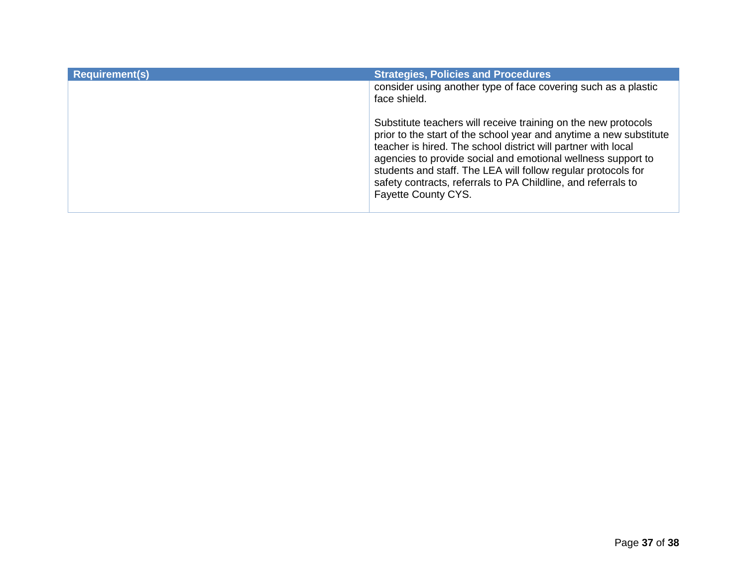| <b>Requirement(s)</b> | <b>Strategies, Policies and Procedures</b>                                                                                                                                                                                                                                                                                                                                                                                     |
|-----------------------|--------------------------------------------------------------------------------------------------------------------------------------------------------------------------------------------------------------------------------------------------------------------------------------------------------------------------------------------------------------------------------------------------------------------------------|
|                       | consider using another type of face covering such as a plastic<br>face shield.                                                                                                                                                                                                                                                                                                                                                 |
|                       | Substitute teachers will receive training on the new protocols<br>prior to the start of the school year and anytime a new substitute<br>teacher is hired. The school district will partner with local<br>agencies to provide social and emotional wellness support to<br>students and staff. The LEA will follow regular protocols for<br>safety contracts, referrals to PA Childline, and referrals to<br>Fayette County CYS. |